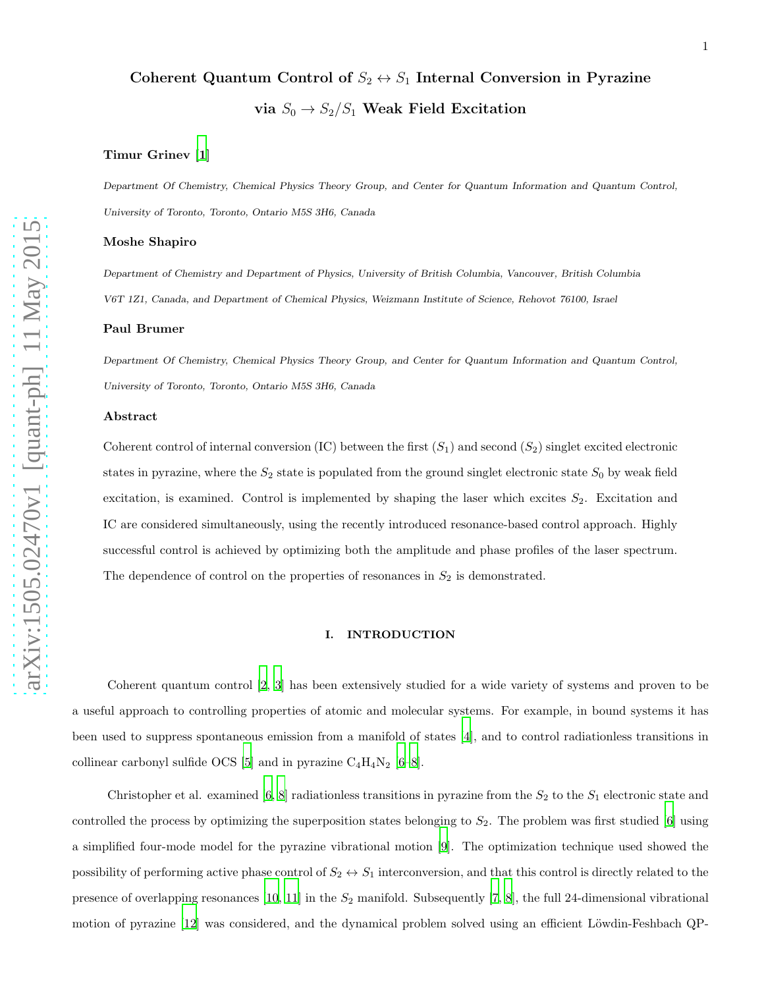# Coherent Quantum Control of  $S_2 \leftrightarrow S_1$  Internal Conversion in Pyrazine via  $S_0 \rightarrow S_2/S_1$  Weak Field Excitation

# Timur Grinev [\[1](#page-20-0)]

Department Of Chemistry, Chemical Physics Theory Group, and Center for Quantum Information and Quantum Control, University of Toronto, Toronto, Ontario M5S 3H6, Canada

## Moshe Shapiro

Department of Chemistry and Department of Physics, University of British Columbia, Vancouver, British Columbia V6T 1Z1, Canada, and Department of Chemical Physics, Weizmann Institute of Science, Rehovot 76100, Israel

## Paul Brumer

Department Of Chemistry, Chemical Physics Theory Group, and Center for Quantum Information and Quantum Control, University of Toronto, Toronto, Ontario M5S 3H6, Canada

#### Abstract

Coherent control of internal conversion (IC) between the first  $(S_1)$  and second  $(S_2)$  singlet excited electronic states in pyrazine, where the  $S_2$  state is populated from the ground singlet electronic state  $S_0$  by weak field excitation, is examined. Control is implemented by shaping the laser which excites  $S_2$ . Excitation and IC are considered simultaneously, using the recently introduced resonance-based control approach. Highly successful control is achieved by optimizing both the amplitude and phase profiles of the laser spectrum. The dependence of control on the properties of resonances in  $S_2$  is demonstrated.

## I. INTRODUCTION

Coherent quantum control [\[2,](#page-20-1) [3\]](#page-20-2) has been extensively studied for a wide variety of systems and proven to be a useful approach to controlling properties of atomic and molecular systems. For example, in bound systems it has been used to suppress spontaneous emission from a manifold of states [\[4\]](#page-20-3), and to control radiationless transitions in collinear carbonyl sulfide OCS [\[5\]](#page-20-4) and in pyrazine  $C_4H_4N_2$  [\[6](#page-20-5)[–8\]](#page-20-6).

Christopher et al. examined [\[6,](#page-20-5) [8](#page-20-6)] radiationless transitions in pyrazine from the  $S_2$  to the  $S_1$  electronic state and controlled the process by optimizing the superposition states belonging to  $S_2$ . The problem was first studied [\[6\]](#page-20-5) using a simplified four-mode model for the pyrazine vibrational motion [\[9\]](#page-20-7). The optimization technique used showed the possibility of performing active phase control of  $S_2 \leftrightarrow S_1$  interconversion, and that this control is directly related to the presence of overlapping resonances  $[10, 11]$  $[10, 11]$  $[10, 11]$  in the  $S_2$  manifold. Subsequently  $[7, 8]$  $[7, 8]$  $[7, 8]$ , the full 24-dimensional vibrational motion of pyrazine [\[12\]](#page-20-11) was considered, and the dynamical problem solved using an efficient Löwdin-Feshbach QP-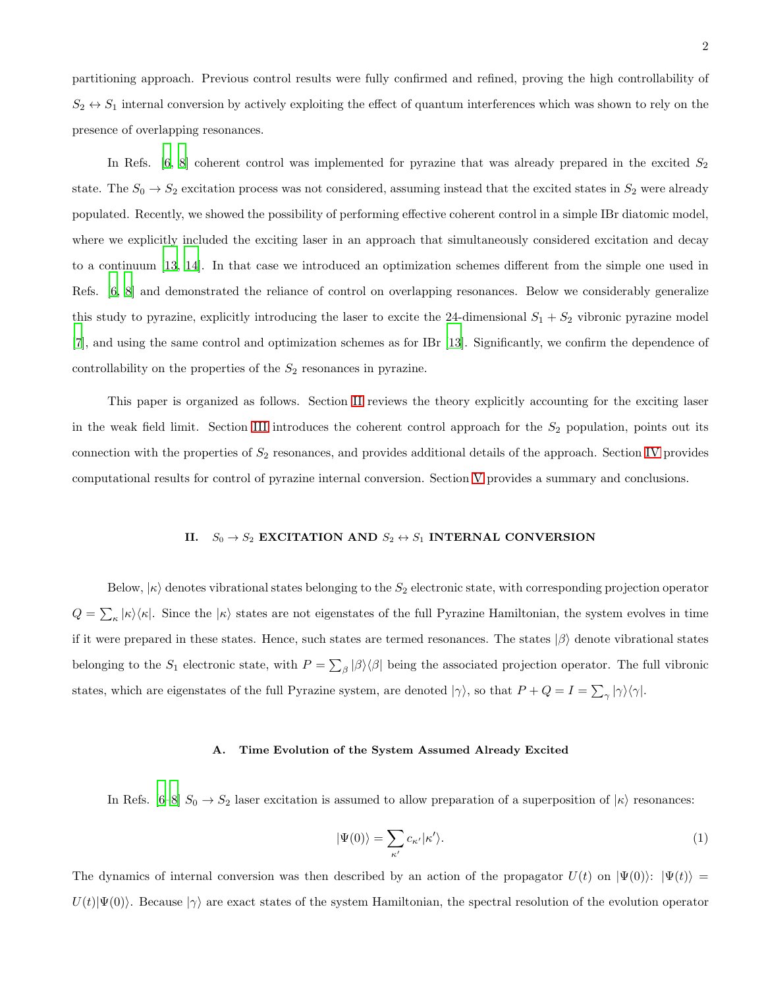partitioning approach. Previous control results were fully confirmed and refined, proving the high controllability of  $S_2 \leftrightarrow S_1$  internal conversion by actively exploiting the effect of quantum interferences which was shown to rely on the presence of overlapping resonances.

In Refs.  $[6, 8]$  $[6, 8]$  coherent control was implemented for pyrazine that was already prepared in the excited  $S_2$ state. The  $S_0 \to S_2$  excitation process was not considered, assuming instead that the excited states in  $S_2$  were already populated. Recently, we showed the possibility of performing effective coherent control in a simple IBr diatomic model, where we explicitly included the exciting laser in an approach that simultaneously considered excitation and decay to a continuum [\[13,](#page-20-12) [14\]](#page-20-13). In that case we introduced an optimization schemes different from the simple one used in Refs. [\[6,](#page-20-5) [8\]](#page-20-6) and demonstrated the reliance of control on overlapping resonances. Below we considerably generalize this study to pyrazine, explicitly introducing the laser to excite the 24-dimensional  $S_1 + S_2$  vibronic pyrazine model [\[7\]](#page-20-10), and using the same control and optimization schemes as for IBr [\[13\]](#page-20-12). Significantly, we confirm the dependence of controllability on the properties of the  $S_2$  resonances in pyrazine.

This paper is organized as follows. Section [II](#page-1-0) reviews the theory explicitly accounting for the exciting laser in the weak field limit. Section [III](#page-7-0) introduces the coherent control approach for the  $S_2$  population, points out its connection with the properties of  $S_2$  resonances, and provides additional details of the approach. Section [IV](#page-12-0) provides computational results for control of pyrazine internal conversion. Section [V](#page-18-0) provides a summary and conclusions.

# <span id="page-1-0"></span>II.  $S_0 \rightarrow S_2$  EXCITATION AND  $S_2 \leftrightarrow S_1$  INTERNAL CONVERSION

Below,  $|\kappa\rangle$  denotes vibrational states belonging to the  $S_2$  electronic state, with corresponding projection operator  $Q = \sum_{\kappa} |\kappa\rangle\langle\kappa|$ . Since the  $|\kappa\rangle$  states are not eigenstates of the full Pyrazine Hamiltonian, the system evolves in time if it were prepared in these states. Hence, such states are termed resonances. The states  $|\beta\rangle$  denote vibrational states belonging to the  $S_1$  electronic state, with  $P = \sum_{\beta} |\beta\rangle\langle\beta|$  being the associated projection operator. The full vibronic states, which are eigenstates of the full Pyrazine system, are denoted  $|\gamma\rangle$ , so that  $P+Q=I=\sum_{\gamma}|\gamma\rangle\langle\gamma|$ .

#### <span id="page-1-1"></span>A. Time Evolution of the System Assumed Already Excited

In Refs.  $[6-8]$   $S_0 \rightarrow S_2$  laser excitation is assumed to allow preparation of a superposition of  $|\kappa\rangle$  resonances:

$$
|\Psi(0)\rangle = \sum_{\kappa'} c_{\kappa'} |\kappa'\rangle. \tag{1}
$$

The dynamics of internal conversion was then described by an action of the propagator  $U(t)$  on  $|\Psi(0)\rangle$ :  $|\Psi(t)\rangle$  =  $U(t)|\Psi(0)\rangle$ . Because  $|\gamma\rangle$  are exact states of the system Hamiltonian, the spectral resolution of the evolution operator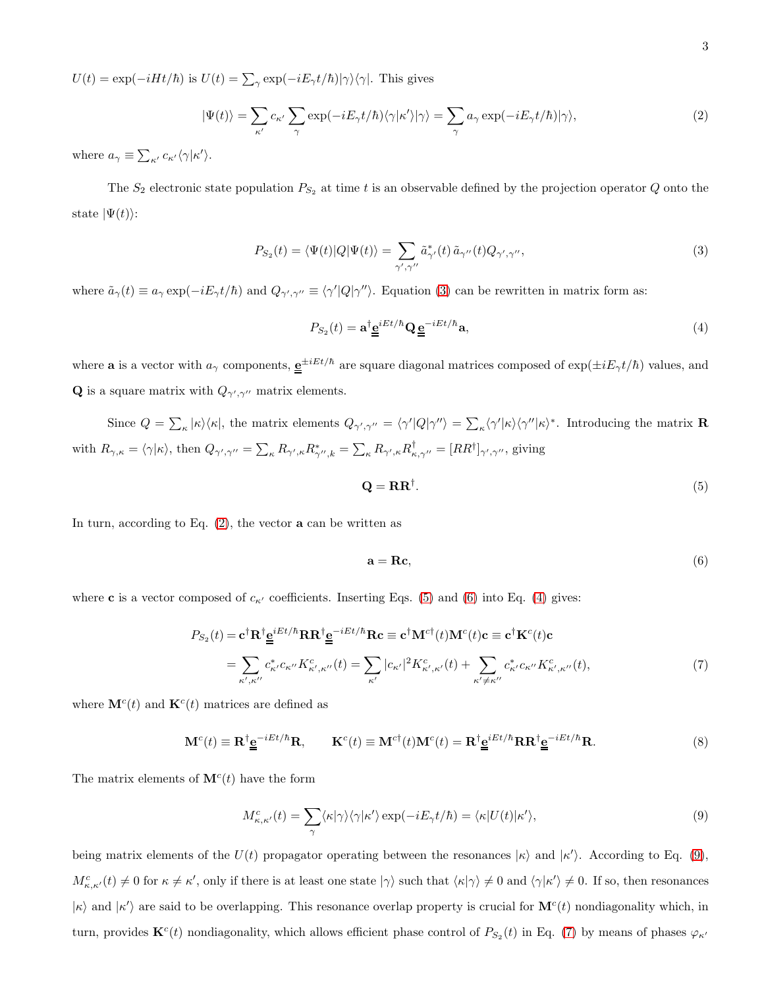$U(t) = \exp(-iHt/\hbar)$  is  $U(t) = \sum_{\gamma} \exp(-iE_{\gamma}t/\hbar)|\gamma\rangle\langle\gamma|$ . This gives

<span id="page-2-1"></span>
$$
|\Psi(t)\rangle = \sum_{\kappa'} c_{\kappa'} \sum_{\gamma} \exp(-iE_{\gamma}t/\hbar) \langle \gamma | \kappa' \rangle |\gamma\rangle = \sum_{\gamma} a_{\gamma} \exp(-iE_{\gamma}t/\hbar) |\gamma\rangle, \tag{2}
$$

where  $a_{\gamma} \equiv \sum_{\kappa'} c_{\kappa'} \langle \gamma | \kappa' \rangle$ .

The  $S_2$  electronic state population  $P_{S_2}$  at time t is an observable defined by the projection operator Q onto the state  $|\Psi(t)\rangle$ :

<span id="page-2-0"></span>
$$
P_{S_2}(t) = \langle \Psi(t) | Q | \Psi(t) \rangle = \sum_{\gamma', \gamma''} \tilde{a}_{\gamma'}^*(t) \tilde{a}_{\gamma''}(t) Q_{\gamma', \gamma''}, \qquad (3)
$$

where  $\tilde{a}_{\gamma}(t) \equiv a_{\gamma} \exp(-iE_{\gamma}t/\hbar)$  and  $Q_{\gamma',\gamma''} \equiv \langle \gamma' | Q | \gamma'' \rangle$ . Equation [\(3\)](#page-2-0) can be rewritten in matrix form as:

<span id="page-2-4"></span>
$$
P_{S_2}(t) = \mathbf{a}^\dagger \underline{\mathbf{e}}^{iEt/\hbar} \mathbf{Q} \underline{\mathbf{e}}^{-iEt/\hbar} \mathbf{a},\tag{4}
$$

where **a** is a vector with  $a_\gamma$  components,  $\underline{e}^{\pm iEt/\hbar}$  are square diagonal matrices composed of  $\exp(\pm iE_\gamma t/\hbar)$  values, and **Q** is a square matrix with  $Q_{\gamma',\gamma''}$  matrix elements.

Since  $Q = \sum_{\kappa} |\kappa\rangle\langle\kappa|$ , the matrix elements  $Q_{\gamma',\gamma''} = \langle\gamma' | Q | \gamma''\rangle = \sum_{\kappa} \langle\gamma' | \kappa \rangle\langle\gamma'' | \kappa\rangle^*$ . Introducing the matrix **R** with  $R_{\gamma,\kappa} = \langle \gamma | \kappa \rangle$ , then  $Q_{\gamma',\gamma''} = \sum_{\kappa} R_{\gamma',\kappa} R_{\gamma'',k}^* = \sum_{\kappa} R_{\gamma',\kappa} R_{\kappa,\gamma''}^\dagger = [RR^\dagger]_{\gamma',\gamma''}$ , giving

<span id="page-2-2"></span>
$$
\mathbf{Q} = \mathbf{R} \mathbf{R}^{\dagger}.\tag{5}
$$

In turn, according to Eq.  $(2)$ , the vector **a** can be written as

<span id="page-2-3"></span>
$$
\mathbf{a} = \mathbf{R}\mathbf{c},\tag{6}
$$

where **c** is a vector composed of  $c_{\kappa'}$  coefficients. Inserting Eqs. [\(5\)](#page-2-2) and [\(6\)](#page-2-3) into Eq. [\(4\)](#page-2-4) gives:

<span id="page-2-6"></span>
$$
P_{S_2}(t) = \mathbf{c}^\dagger \mathbf{R}^\dagger \underline{\mathbf{e}}^{iEt/\hbar} \mathbf{R} \mathbf{R}^\dagger \underline{\mathbf{e}}^{-iEt/\hbar} \mathbf{R} \mathbf{c} \equiv \mathbf{c}^\dagger \mathbf{M}^{c\dagger}(t) \mathbf{M}^c(t) \mathbf{c} \equiv \mathbf{c}^\dagger \mathbf{K}^c(t) \mathbf{c}
$$
  
\n
$$
= \sum_{\kappa',\kappa''} c^*_{\kappa'} c_{\kappa''} K^c_{\kappa',\kappa''}(t) = \sum_{\kappa'} |c_{\kappa'}|^2 K^c_{\kappa',\kappa'}(t) + \sum_{\kappa' \neq \kappa''} c^*_{\kappa'} c_{\kappa''} K^c_{\kappa',\kappa''}(t), \tag{7}
$$

where  $\mathbf{M}^{c}(t)$  and  $\mathbf{K}^{c}(t)$  matrices are defined as

<span id="page-2-7"></span>
$$
\mathbf{M}^{c}(t) \equiv \mathbf{R}^{\dagger} \underline{\mathbf{e}}^{-iEt/\hbar} \mathbf{R}, \qquad \mathbf{K}^{c}(t) \equiv \mathbf{M}^{c\dagger}(t) \mathbf{M}^{c}(t) = \mathbf{R}^{\dagger} \underline{\mathbf{e}}^{iEt/\hbar} \mathbf{R} \mathbf{R}^{\dagger} \underline{\mathbf{e}}^{-iEt/\hbar} \mathbf{R}.
$$
 (8)

The matrix elements of  $\mathbf{M}^{c}(t)$  have the form

<span id="page-2-5"></span>
$$
M_{\kappa,\kappa'}^{c}(t) = \sum_{\gamma} \langle \kappa | \gamma \rangle \langle \gamma | \kappa' \rangle \exp(-iE_{\gamma}t/\hbar) = \langle \kappa | U(t) | \kappa' \rangle, \tag{9}
$$

being matrix elements of the  $U(t)$  propagator operating between the resonances  $|\kappa\rangle$  and  $|\kappa'\rangle$ . According to Eq. [\(9\)](#page-2-5),  $M_{\kappa,\kappa'}^c(t) \neq 0$  for  $\kappa \neq \kappa'$ , only if there is at least one state  $|\gamma\rangle$  such that  $\langle \kappa |\gamma \rangle \neq 0$  and  $\langle \gamma |\kappa' \rangle \neq 0$ . If so, then resonances  $|\kappa\rangle$  and  $|\kappa'\rangle$  are said to be overlapping. This resonance overlap property is crucial for  $\mathbf{M}^c(t)$  nondiagonality which, in turn, provides  $\mathbf{K}^c(t)$  nondiagonality, which allows efficient phase control of  $P_{S_2}(t)$  in Eq. [\(7\)](#page-2-6) by means of phases  $\varphi_{\kappa'}$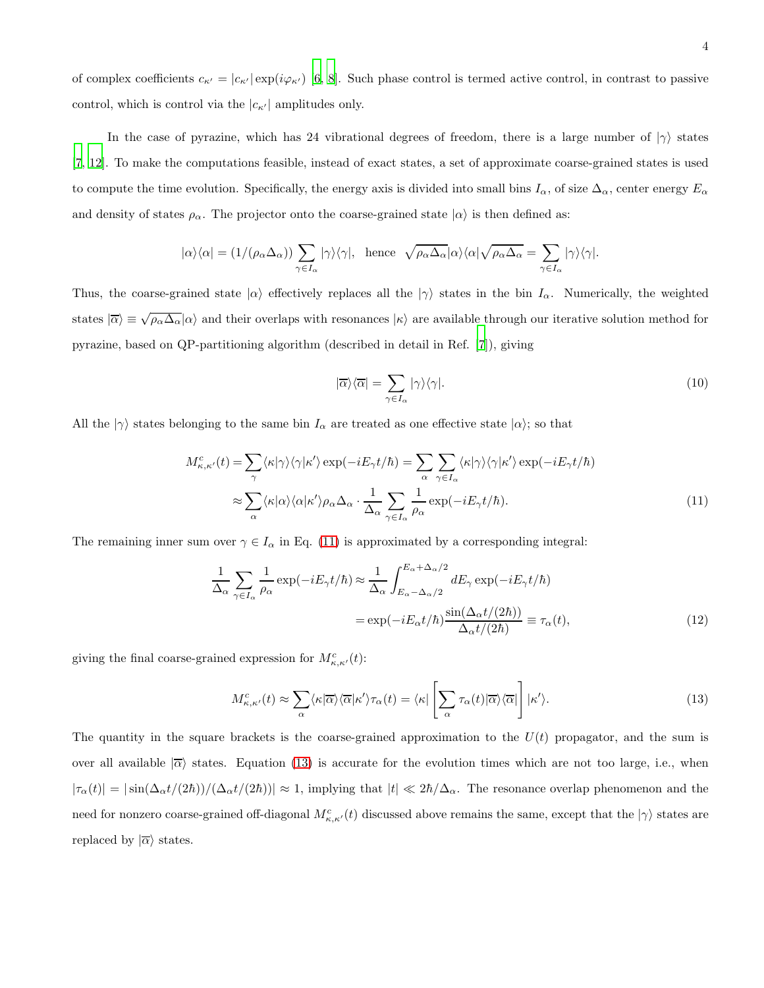of complex coefficients  $c_{\kappa'} = |c_{\kappa'}| \exp(i\varphi_{\kappa'})$  [\[6,](#page-20-5) [8](#page-20-6)]. Such phase control is termed active control, in contrast to passive control, which is control via the  $|c_{\kappa'}|$  amplitudes only.

In the case of pyrazine, which has 24 vibrational degrees of freedom, there is a large number of  $|\gamma\rangle$  states [\[7,](#page-20-10) [12\]](#page-20-11). To make the computations feasible, instead of exact states, a set of approximate coarse-grained states is used to compute the time evolution. Specifically, the energy axis is divided into small bins  $I_\alpha$ , of size  $\Delta_\alpha$ , center energy  $E_\alpha$ and density of states  $\rho_{\alpha}$ . The projector onto the coarse-grained state  $|\alpha\rangle$  is then defined as:

$$
|\alpha\rangle\langle\alpha| = (1/(\rho_\alpha \Delta_\alpha)) \sum_{\gamma \in I_\alpha} |\gamma\rangle\langle\gamma|, \text{ hence } \sqrt{\rho_\alpha \Delta_\alpha} |\alpha\rangle\langle\alpha| \sqrt{\rho_\alpha \Delta_\alpha} = \sum_{\gamma \in I_\alpha} |\gamma\rangle\langle\gamma|.
$$

Thus, the coarse-grained state  $|\alpha\rangle$  effectively replaces all the  $|\gamma\rangle$  states in the bin  $I_{\alpha}$ . Numerically, the weighted states  $|\overline{\alpha}\rangle \equiv \sqrt{\rho_{\alpha}\Delta_{\alpha}}|\alpha\rangle$  and their overlaps with resonances  $|\kappa\rangle$  are available through our iterative solution method for pyrazine, based on QP-partitioning algorithm (described in detail in Ref. [\[7\]](#page-20-10)), giving

$$
|\overline{\alpha}\rangle\langle\overline{\alpha}| = \sum_{\gamma \in I_{\alpha}} |\gamma\rangle\langle\gamma|.
$$
 (10)

All the  $|\gamma\rangle$  states belonging to the same bin  $I_{\alpha}$  are treated as one effective state  $|\alpha\rangle$ ; so that

<span id="page-3-0"></span>
$$
M_{\kappa,\kappa'}^{c}(t) = \sum_{\gamma} \langle \kappa | \gamma \rangle \langle \gamma | \kappa' \rangle \exp(-iE_{\gamma}t/\hbar) = \sum_{\alpha} \sum_{\gamma \in I_{\alpha}} \langle \kappa | \gamma \rangle \langle \gamma | \kappa' \rangle \exp(-iE_{\gamma}t/\hbar)
$$

$$
\approx \sum_{\alpha} \langle \kappa | \alpha \rangle \langle \alpha | \kappa' \rangle \rho_{\alpha} \Delta_{\alpha} \cdot \frac{1}{\Delta_{\alpha}} \sum_{\gamma \in I_{\alpha}} \frac{1}{\rho_{\alpha}} \exp(-iE_{\gamma}t/\hbar). \tag{11}
$$

The remaining inner sum over  $\gamma \in I_{\alpha}$  in Eq. [\(11\)](#page-3-0) is approximated by a corresponding integral:

<span id="page-3-2"></span>
$$
\frac{1}{\Delta_{\alpha}} \sum_{\gamma \in I_{\alpha}} \frac{1}{\rho_{\alpha}} \exp(-iE_{\gamma}t/\hbar) \approx \frac{1}{\Delta_{\alpha}} \int_{E_{\alpha} - \Delta_{\alpha}/2}^{E_{\alpha} + \Delta_{\alpha}/2} dE_{\gamma} \exp(-iE_{\gamma}t/\hbar)
$$

$$
= \exp(-iE_{\alpha}t/\hbar) \frac{\sin(\Delta_{\alpha}t/(2\hbar))}{\Delta_{\alpha}t/(2\hbar)} \equiv \tau_{\alpha}(t), \tag{12}
$$

giving the final coarse-grained expression for  $M_{\kappa,\kappa'}^c(t)$ :

<span id="page-3-1"></span>
$$
M_{\kappa,\kappa'}^{c}(t) \approx \sum_{\alpha} \langle \kappa | \overline{\alpha} \rangle \langle \overline{\alpha} | \kappa' \rangle \tau_{\alpha}(t) = \langle \kappa | \left[ \sum_{\alpha} \tau_{\alpha}(t) | \overline{\alpha} \rangle \langle \overline{\alpha} | \right] | \kappa' \rangle. \tag{13}
$$

The quantity in the square brackets is the coarse-grained approximation to the  $U(t)$  propagator, and the sum is over all available  $\overline{\alpha}$  states. Equation [\(13\)](#page-3-1) is accurate for the evolution times which are not too large, i.e., when  $|\tau_{\alpha}(t)| = |\sin(\Delta_{\alpha} t/(2\hbar))/(\Delta_{\alpha} t/(2\hbar))| \approx 1$ , implying that  $|t| \ll 2\hbar/\Delta_{\alpha}$ . The resonance overlap phenomenon and the need for nonzero coarse-grained off-diagonal  $M_{\kappa,\kappa'}^c(t)$  discussed above remains the same, except that the  $|\gamma\rangle$  states are replaced by  $|\overline{\alpha}\rangle$  states.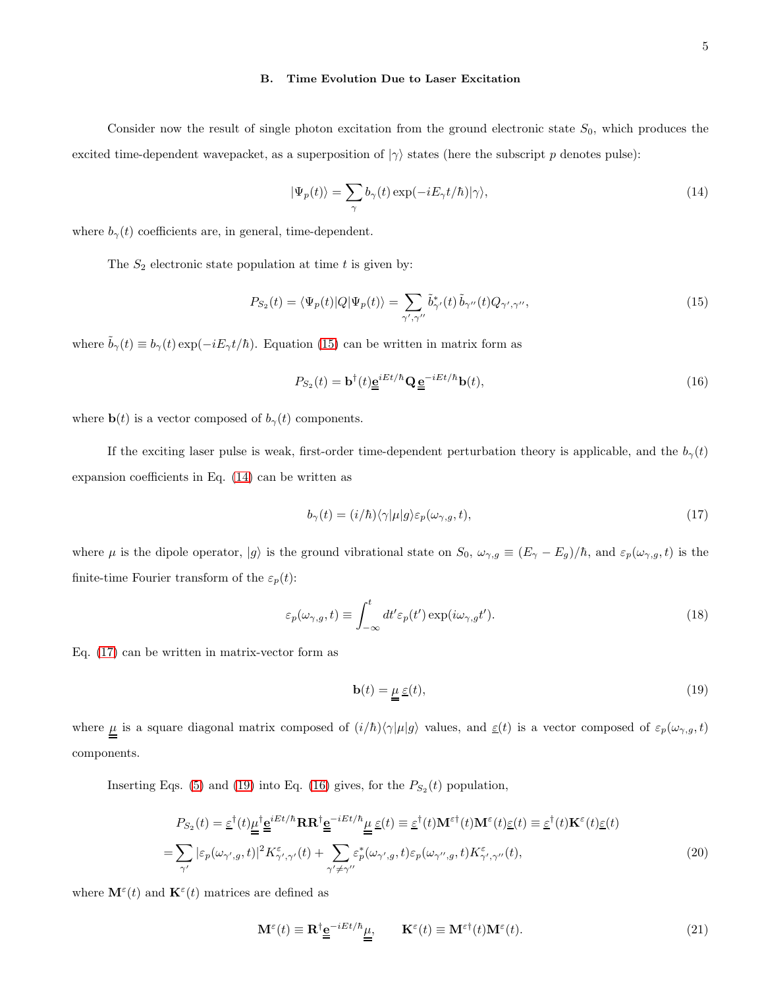#### <span id="page-4-7"></span>B. Time Evolution Due to Laser Excitation

Consider now the result of single photon excitation from the ground electronic state  $S_0$ , which produces the excited time-dependent wavepacket, as a superposition of  $|\gamma\rangle$  states (here the subscript p denotes pulse):

<span id="page-4-1"></span>
$$
|\Psi_p(t)\rangle = \sum_{\gamma} b_{\gamma}(t) \exp(-iE_{\gamma}t/\hbar)|\gamma\rangle,
$$
\n(14)

where  $b_{\gamma}(t)$  coefficients are, in general, time-dependent.

The  $S_2$  electronic state population at time t is given by:

<span id="page-4-0"></span>
$$
P_{S_2}(t) = \langle \Psi_p(t) | Q | \Psi_p(t) \rangle = \sum_{\gamma', \gamma''} \tilde{b}_{\gamma'}^*(t) \tilde{b}_{\gamma''}(t) Q_{\gamma', \gamma''}, \qquad (15)
$$

where  $\tilde{b}_{\gamma}(t) \equiv b_{\gamma}(t) \exp(-iE_{\gamma}t/\hbar)$ . Equation [\(15\)](#page-4-0) can be written in matrix form as

<span id="page-4-4"></span>
$$
P_{S_2}(t) = \mathbf{b}^\dagger(t)\underline{\mathbf{e}}^{iEt/\hbar}\mathbf{Q}\underline{\mathbf{e}}^{-iEt/\hbar}\mathbf{b}(t),\tag{16}
$$

where  $\mathbf{b}(t)$  is a vector composed of  $b_{\gamma}(t)$  components.

If the exciting laser pulse is weak, first-order time-dependent perturbation theory is applicable, and the  $b_{\gamma}(t)$ expansion coefficients in Eq. [\(14\)](#page-4-1) can be written as

<span id="page-4-2"></span>
$$
b_{\gamma}(t) = (i/\hbar)\langle \gamma|\mu|g\rangle \varepsilon_{p}(\omega_{\gamma,g}, t), \qquad (17)
$$

where  $\mu$  is the dipole operator,  $|g\rangle$  is the ground vibrational state on  $S_0$ ,  $\omega_{\gamma,g} \equiv (E_{\gamma} - E_g)/\hbar$ , and  $\varepsilon_p(\omega_{\gamma,g}, t)$  is the finite-time Fourier transform of the  $\varepsilon_p(t)$ :

<span id="page-4-8"></span>
$$
\varepsilon_p(\omega_{\gamma,g}, t) \equiv \int_{-\infty}^t dt' \varepsilon_p(t') \exp(i\omega_{\gamma,g}t'). \tag{18}
$$

Eq. [\(17\)](#page-4-2) can be written in matrix-vector form as

<span id="page-4-3"></span>
$$
\mathbf{b}(t) = \underline{\mu} \underline{\varepsilon}(t),\tag{19}
$$

where  $\underline{\mu}$  is a square diagonal matrix composed of  $(i/\hbar)\langle \gamma|\mu|g\rangle$  values, and  $\underline{\varepsilon}(t)$  is a vector composed of  $\varepsilon_p(\omega_{\gamma,g}, t)$ components.

Inserting Eqs. [\(5\)](#page-2-2) and [\(19\)](#page-4-3) into Eq. [\(16\)](#page-4-4) gives, for the  $P_{S_2}(t)$  population,

<span id="page-4-5"></span>
$$
P_{S_2}(t) = \underline{\varepsilon}^{\dagger}(t)\underline{\mu}^{\dagger}\underline{\underline{\mathbf{e}}}^{\underline{i}Et/\hbar}\mathbf{R}\mathbf{R}^{\dagger}\underline{\underline{\mathbf{e}}}^{-iEt/\hbar}\underline{\mu}\underline{\underline{\mathbf{e}}}(t) \equiv \underline{\varepsilon}^{\dagger}(t)\mathbf{M}^{\varepsilon\dagger}(t)\mathbf{M}^{\varepsilon}(t)\underline{\varepsilon}(t) \equiv \underline{\varepsilon}^{\dagger}(t)\mathbf{K}^{\varepsilon}(t)\underline{\varepsilon}(t)
$$

$$
= \sum_{\gamma'} |\varepsilon_p(\omega_{\gamma',g},t)|^2 K_{\gamma',\gamma'}^{\varepsilon}(t) + \sum_{\gamma'\neq\gamma''}\varepsilon_p^{\ast}(\omega_{\gamma',g},t)\varepsilon_p(\omega_{\gamma'',g},t)K_{\gamma',\gamma''}^{\varepsilon}(t), \tag{20}
$$

where  $\mathbf{M}^{\varepsilon}(t)$  and  $\mathbf{K}^{\varepsilon}(t)$  matrices are defined as

<span id="page-4-6"></span>
$$
\mathbf{M}^{\varepsilon}(t) \equiv \mathbf{R}^{\dagger} \underline{\underline{\mathbf{e}}}^{-iEt/\hbar} \underline{\underline{\mu}}, \qquad \mathbf{K}^{\varepsilon}(t) \equiv \mathbf{M}^{\varepsilon\dagger}(t) \mathbf{M}^{\varepsilon}(t). \tag{21}
$$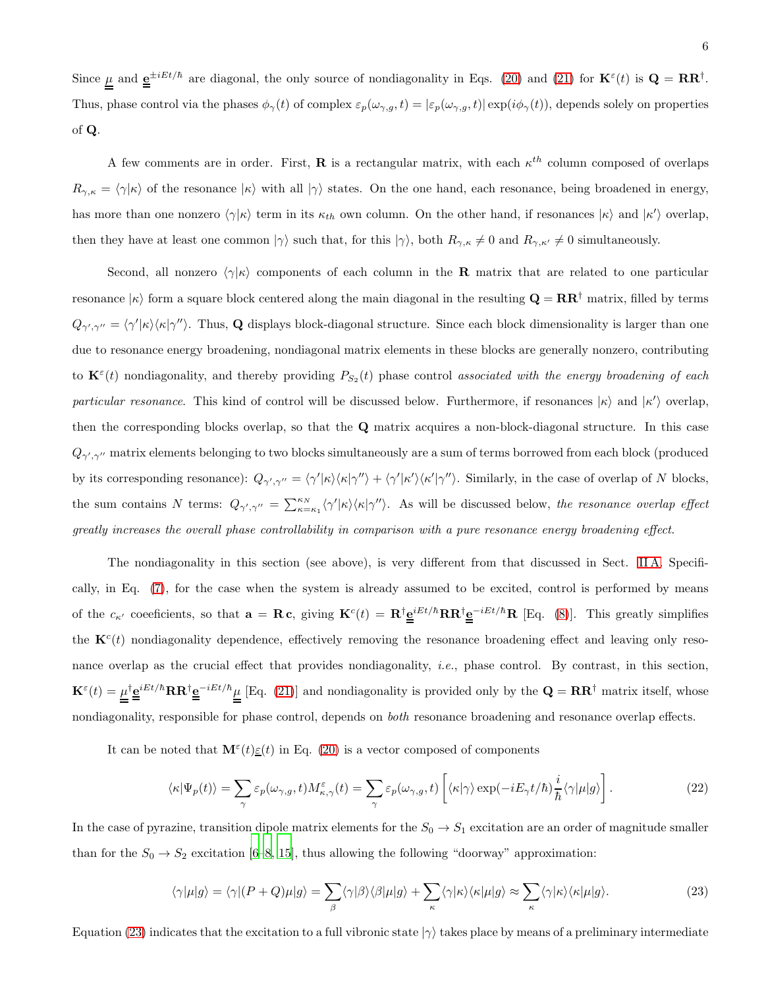Since  $\mu$  and  $\underline{e}^{\pm iEt/\hbar}$  are diagonal, the only source of nondiagonality in Eqs. [\(20\)](#page-4-5) and [\(21\)](#page-4-6) for  $\mathbf{K}^{\varepsilon}(t)$  is  $\mathbf{Q} = \mathbf{R}\mathbf{R}^{\dagger}$ . Thus, phase control via the phases  $\phi_{\gamma}(t)$  of complex  $\varepsilon_{p}(\omega_{\gamma,g}, t) = |\varepsilon_{p}(\omega_{\gamma,g}, t)| \exp(i\phi_{\gamma}(t))$ , depends solely on properties of Q.

A few comments are in order. First, **R** is a rectangular matrix, with each  $\kappa^{th}$  column composed of overlaps  $R_{\gamma,\kappa} = \langle \gamma | \kappa \rangle$  of the resonance  $| \kappa \rangle$  with all  $| \gamma \rangle$  states. On the one hand, each resonance, being broadened in energy, has more than one nonzero  $\langle \gamma | \kappa \rangle$  term in its  $\kappa_{th}$  own column. On the other hand, if resonances  $|\kappa \rangle$  and  $|\kappa' \rangle$  overlap, then they have at least one common  $|\gamma\rangle$  such that, for this  $|\gamma\rangle$ , both  $R_{\gamma,\kappa}\neq 0$  and  $R_{\gamma,\kappa'}\neq 0$  simultaneously.

Second, all nonzero  $\langle \gamma | \kappa \rangle$  components of each column in the **R** matrix that are related to one particular resonance  $|\kappa\rangle$  form a square block centered along the main diagonal in the resulting  $\mathbf{Q} = \mathbf{R}\mathbf{R}^{\dagger}$  matrix, filled by terms  $Q_{\gamma',\gamma''} = \langle \gamma' | \kappa \rangle \langle \kappa | \gamma'' \rangle$ . Thus, Q displays block-diagonal structure. Since each block dimensionality is larger than one due to resonance energy broadening, nondiagonal matrix elements in these blocks are generally nonzero, contributing to  $\mathbf{K}^{\varepsilon}(t)$  nondiagonality, and thereby providing  $P_{S_2}(t)$  phase control associated with the energy broadening of each particular resonance. This kind of control will be discussed below. Furthermore, if resonances  $|\kappa\rangle$  and  $|\kappa'\rangle$  overlap, then the corresponding blocks overlap, so that the Q matrix acquires a non-block-diagonal structure. In this case  $Q_{\gamma',\gamma''}$  matrix elements belonging to two blocks simultaneously are a sum of terms borrowed from each block (produced by its corresponding resonance):  $Q_{\gamma',\gamma''} = \langle \gamma' | \kappa \rangle \langle \kappa | \gamma'' \rangle + \langle \gamma' | \kappa' \rangle \langle \kappa' | \gamma'' \rangle$ . Similarly, in the case of overlap of N blocks, the sum contains N terms:  $Q_{\gamma',\gamma''} = \sum_{\kappa=\kappa_1}^{\kappa_N} \langle \gamma' | \kappa \rangle \langle \kappa | \gamma'' \rangle$ . As will be discussed below, the resonance overlap effect greatly increases the overall phase controllability in comparison with a pure resonance energy broadening effect.

The nondiagonality in this section (see above), is very different from that discussed in Sect. [II A.](#page-1-1) Specifically, in Eq. [\(7\)](#page-2-6), for the case when the system is already assumed to be excited, control is performed by means of the  $c_{\kappa'}$  coefficients, so that  $\mathbf{a} = \mathbf{R} \mathbf{c}$ , giving  $\mathbf{K}^c(t) = \mathbf{R}^{\dagger} \underline{\mathbf{e}}^{iEt/\hbar} \mathbf{R} \mathbf{R}^{\dagger} \underline{\mathbf{e}}^{-iEt/\hbar} \mathbf{R}$  [Eq. [\(8\)](#page-2-7)]. This greatly simplifies the  $K^c(t)$  nondiagonality dependence, effectively removing the resonance broadening effect and leaving only resonance overlap as the crucial effect that provides nondiagonality, *i.e.*, phase control. By contrast, in this section,  $\mathbf{K}^{\varepsilon}(t) = \mu^{\dagger} \underline{\mathbf{e}}^{iEt/\hbar} \mathbf{R} \mathbf{R}^{\dagger} \underline{\mathbf{e}}^{-iEt/\hbar} \mu$  [Eq. [\(21\)](#page-4-6)] and nondiagonality is provided only by the  $\mathbf{Q} = \mathbf{R} \mathbf{R}^{\dagger}$  matrix itself, whose nondiagonality, responsible for phase control, depends on both resonance broadening and resonance overlap effects.

It can be noted that  $\mathbf{M}^{\varepsilon}(t) \underline{\varepsilon}(t)$  in Eq. [\(20\)](#page-4-5) is a vector composed of components

<span id="page-5-1"></span>
$$
\langle \kappa | \Psi_p(t) \rangle = \sum_{\gamma} \varepsilon_p(\omega_{\gamma,g}, t) M^{\varepsilon}_{\kappa,\gamma}(t) = \sum_{\gamma} \varepsilon_p(\omega_{\gamma,g}, t) \left[ \langle \kappa | \gamma \rangle \exp(-iE_{\gamma}t/\hbar) \frac{i}{\hbar} \langle \gamma | \mu | g \rangle \right]. \tag{22}
$$

In the case of pyrazine, transition dipole matrix elements for the  $S_0 \to S_1$  excitation are an order of magnitude smaller than for the  $S_0 \rightarrow S_2$  excitation [\[6](#page-20-5)[–8](#page-20-6), [15\]](#page-21-0), thus allowing the following "doorway" approximation:

<span id="page-5-0"></span>
$$
\langle \gamma | \mu | g \rangle = \langle \gamma | (P + Q) \mu | g \rangle = \sum_{\beta} \langle \gamma | \beta \rangle \langle \beta | \mu | g \rangle + \sum_{\kappa} \langle \gamma | \kappa \rangle \langle \kappa | \mu | g \rangle \approx \sum_{\kappa} \langle \gamma | \kappa \rangle \langle \kappa | \mu | g \rangle. \tag{23}
$$

Equation [\(23\)](#page-5-0) indicates that the excitation to a full vibronic state  $|\gamma\rangle$  takes place by means of a preliminary intermediate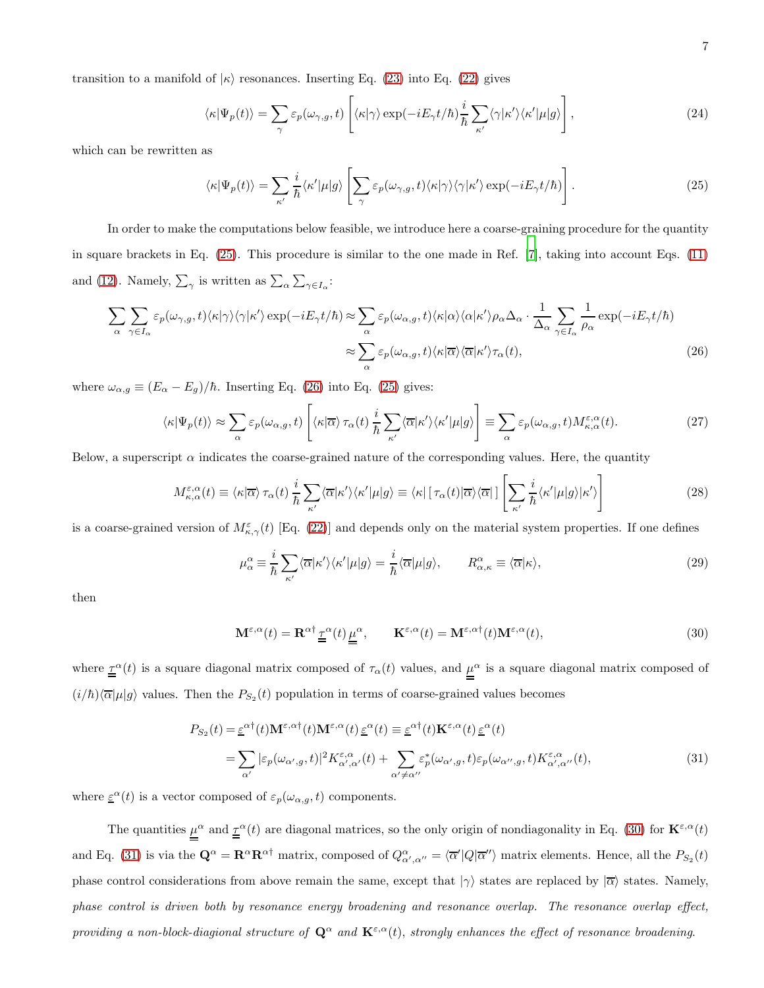transition to a manifold of  $|\kappa\rangle$  resonances. Inserting Eq. [\(23\)](#page-5-0) into Eq. [\(22\)](#page-5-1) gives

$$
\langle \kappa | \Psi_p(t) \rangle = \sum_{\gamma} \varepsilon_p(\omega_{\gamma,g}, t) \left[ \langle \kappa | \gamma \rangle \exp(-iE_{\gamma}t/\hbar) \frac{i}{\hbar} \sum_{\kappa'} \langle \gamma | \kappa' \rangle \langle \kappa' | \mu | g \rangle \right], \tag{24}
$$

which can be rewritten as

<span id="page-6-0"></span>
$$
\langle \kappa | \Psi_p(t) \rangle = \sum_{\kappa'} \frac{i}{\hbar} \langle \kappa' | \mu | g \rangle \left[ \sum_{\gamma} \varepsilon_p(\omega_{\gamma,g}, t) \langle \kappa | \gamma \rangle \langle \gamma | \kappa' \rangle \exp(-iE_{\gamma}t/\hbar) \right]. \tag{25}
$$

In order to make the computations below feasible, we introduce here a coarse-graining procedure for the quantity in square brackets in Eq. [\(25\)](#page-6-0). This procedure is similar to the one made in Ref. [\[7\]](#page-20-10), taking into account Eqs. [\(11\)](#page-3-0) and [\(12\)](#page-3-2). Namely,  $\sum_{\gamma}$  is written as  $\sum_{\alpha} \sum_{\gamma \in I_{\alpha}}$ :

<span id="page-6-1"></span>
$$
\sum_{\alpha} \sum_{\gamma \in I_{\alpha}} \varepsilon_{p}(\omega_{\gamma,g}, t) \langle \kappa | \gamma \rangle \langle \gamma | \kappa' \rangle \exp(-iE_{\gamma}t/\hbar) \approx \sum_{\alpha} \varepsilon_{p}(\omega_{\alpha,g}, t) \langle \kappa | \alpha \rangle \langle \alpha | \kappa' \rangle \rho_{\alpha} \Delta_{\alpha} \cdot \frac{1}{\Delta_{\alpha}} \sum_{\gamma \in I_{\alpha}} \frac{1}{\rho_{\alpha}} \exp(-iE_{\gamma}t/\hbar)
$$

$$
\approx \sum_{\alpha} \varepsilon_{p}(\omega_{\alpha,g}, t) \langle \kappa | \overline{\alpha} \rangle \langle \overline{\alpha} | \kappa' \rangle \tau_{\alpha}(t), \tag{26}
$$

where  $\omega_{\alpha,g} \equiv (E_{\alpha} - E_{g})/\hbar$ . Inserting Eq. [\(26\)](#page-6-1) into Eq. [\(25\)](#page-6-0) gives:

<span id="page-6-4"></span>
$$
\langle \kappa | \Psi_p(t) \rangle \approx \sum_{\alpha} \varepsilon_p(\omega_{\alpha,g}, t) \left[ \langle \kappa | \overline{\alpha} \rangle \, \tau_\alpha(t) \, \frac{i}{\hbar} \sum_{\kappa'} \langle \overline{\alpha} | \kappa' \rangle \langle \kappa' | \mu | g \rangle \right] \equiv \sum_{\alpha} \varepsilon_p(\omega_{\alpha,g}, t) M_{\kappa,\alpha}^{\varepsilon,\alpha}(t). \tag{27}
$$

Below, a superscript  $\alpha$  indicates the coarse-grained nature of the corresponding values. Here, the quantity

<span id="page-6-5"></span>
$$
M_{\kappa,\alpha}^{\varepsilon,\alpha}(t) \equiv \langle \kappa | \overline{\alpha} \rangle \, \tau_{\alpha}(t) \, \frac{i}{\hbar} \sum_{\kappa'} \langle \overline{\alpha} | \kappa' \rangle \langle \kappa' | \mu | g \rangle \equiv \langle \kappa | \left[ \, \tau_{\alpha}(t) | \overline{\alpha} \rangle \langle \overline{\alpha} | \, \right] \left[ \sum_{\kappa'} \frac{i}{\hbar} \langle \kappa' | \mu | g \rangle | \kappa' \rangle \right] \tag{28}
$$

is a coarse-grained version of  $M_{\kappa,\gamma}^{\varepsilon}(t)$  [Eq. [\(22\)](#page-5-1)] and depends only on the material system properties. If one defines

$$
\mu_{\alpha}^{\alpha} \equiv \frac{i}{\hbar} \sum_{\kappa'} \langle \overline{\alpha} | \kappa' \rangle \langle \kappa' | \mu | g \rangle = \frac{i}{\hbar} \langle \overline{\alpha} | \mu | g \rangle, \qquad R_{\alpha,\kappa}^{\alpha} \equiv \langle \overline{\alpha} | \kappa \rangle,
$$
\n(29)

then

<span id="page-6-2"></span>
$$
\mathbf{M}^{\varepsilon,\alpha}(t) = \mathbf{R}^{\alpha\dagger} \underline{\tau}^{\alpha}(t) \underline{\mu}^{\alpha}, \qquad \mathbf{K}^{\varepsilon,\alpha}(t) = \mathbf{M}^{\varepsilon,\alpha\dagger}(t) \mathbf{M}^{\varepsilon,\alpha}(t), \tag{30}
$$

where  $\underline{\tau}^{\alpha}(t)$  is a square diagonal matrix composed of  $\tau_{\alpha}(t)$  values, and  $\mu^{\alpha}$  is a square diagonal matrix composed of  $(i/\hbar)\langle \overline{\alpha}|\mu|g\rangle$  values. Then the  $P_{S_2}(t)$  population in terms of coarse-grained values becomes

<span id="page-6-3"></span>
$$
P_{S_2}(t) = \underline{\varepsilon}^{\alpha \dagger}(t) \mathbf{M}^{\varepsilon, \alpha \dagger}(t) \mathbf{M}^{\varepsilon, \alpha}(t) \underline{\varepsilon}^{\alpha}(t) \equiv \underline{\varepsilon}^{\alpha \dagger}(t) \mathbf{K}^{\varepsilon, \alpha}(t) \underline{\varepsilon}^{\alpha}(t)
$$
  
\n
$$
= \sum_{\alpha'} |\varepsilon_p(\omega_{\alpha', g}, t)|^2 K^{\varepsilon, \alpha}_{\alpha', \alpha'}(t) + \sum_{\alpha' \neq \alpha''} \varepsilon_p^*(\omega_{\alpha', g}, t) \varepsilon_p(\omega_{\alpha'', g}, t) K^{\varepsilon, \alpha}_{\alpha', \alpha''}(t), \tag{31}
$$

where  $\underline{\varepsilon}^{\alpha}(t)$  is a vector composed of  $\varepsilon_p(\omega_{\alpha,g},t)$  components.

The quantities  $\mu^{\alpha}$  and  $\underline{\tau}^{\alpha}(t)$  are diagonal matrices, so the only origin of nondiagonality in Eq. [\(30\)](#page-6-2) for  $\mathbf{K}^{\varepsilon,\alpha}(t)$ and Eq. [\(31\)](#page-6-3) is via the  $\mathbf{Q}^{\alpha} = \mathbf{R}^{\alpha} \mathbf{R}^{\alpha\dagger}$  matrix, composed of  $Q^{\alpha}_{\alpha',\alpha''} = \langle \overline{\alpha}' | Q | \overline{\alpha}'' \rangle$  matrix elements. Hence, all the  $P_{S_2}(t)$ phase control considerations from above remain the same, except that  $|\gamma\rangle$  states are replaced by  $|\overline{\alpha}\rangle$  states. Namely, phase control is driven both by resonance energy broadening and resonance overlap. The resonance overlap effect, providing a non-block-diagional structure of  $Q^{\alpha}$  and  $\mathbf{K}^{\varepsilon,\alpha}(t)$ , strongly enhances the effect of resonance broadening.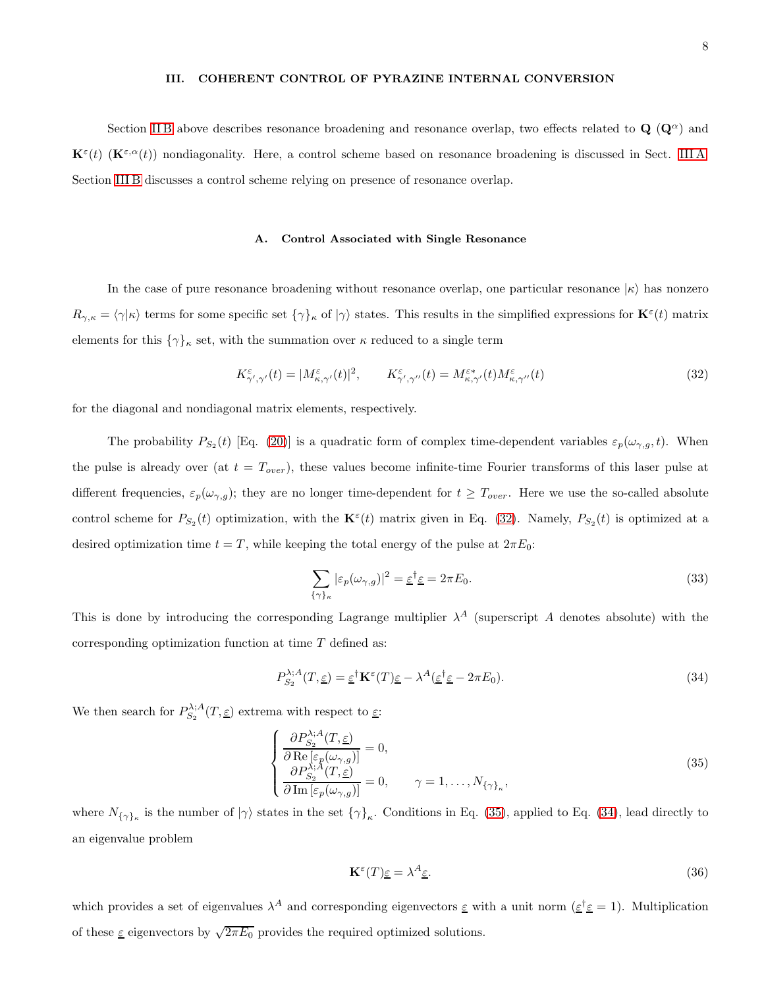#### <span id="page-7-0"></span>III. COHERENT CONTROL OF PYRAZINE INTERNAL CONVERSION

Section IIB above describes resonance broadening and resonance overlap, two effects related to  $\mathbf{Q}(\mathbf{Q}^{\alpha})$  and  $\mathbf{K}^{\varepsilon}(t)$  ( $\mathbf{K}^{\varepsilon,\alpha}(t)$ ) nondiagonality. Here, a control scheme based on resonance broadening is discussed in Sect. [III A.](#page-7-1) Section [III B](#page-8-0) discusses a control scheme relying on presence of resonance overlap.

## <span id="page-7-1"></span>A. Control Associated with Single Resonance

In the case of pure resonance broadening without resonance overlap, one particular resonance  $|\kappa\rangle$  has nonzero  $R_{\gamma,\kappa} = \langle \gamma | \kappa \rangle$  terms for some specific set  $\{ \gamma \}_\kappa$  of  $| \gamma \rangle$  states. This results in the simplified expressions for  $\mathbf{K}^{\varepsilon}(t)$  matrix elements for this  $\{\gamma\}_\kappa$  set, with the summation over  $\kappa$  reduced to a single term

<span id="page-7-2"></span>
$$
K^{\varepsilon}_{\gamma',\gamma'}(t) = |M^{\varepsilon}_{\kappa,\gamma'}(t)|^2, \qquad K^{\varepsilon}_{\gamma',\gamma''}(t) = M^{\varepsilon*}_{\kappa,\gamma'}(t)M^{\varepsilon}_{\kappa,\gamma''}(t)
$$
\n(32)

for the diagonal and nondiagonal matrix elements, respectively.

The probability  $P_{S_2}(t)$  [Eq. [\(20\)](#page-4-5)] is a quadratic form of complex time-dependent variables  $\varepsilon_p(\omega_{\gamma,g},t)$ . When the pulse is already over (at  $t = T_{over}$ ), these values become infinite-time Fourier transforms of this laser pulse at different frequencies,  $\varepsilon_p(\omega_{\gamma,g})$ ; they are no longer time-dependent for  $t \geq T_{over}$ . Here we use the so-called absolute control scheme for  $P_{S_2}(t)$  optimization, with the  $\mathbf{K}^{\varepsilon}(t)$  matrix given in Eq. [\(32\)](#page-7-2). Namely,  $P_{S_2}(t)$  is optimized at a desired optimization time  $t = T$ , while keeping the total energy of the pulse at  $2\pi E_0$ :

$$
\sum_{\{\gamma\}_{\kappa}} |\varepsilon_p(\omega_{\gamma,g})|^2 = \underline{\varepsilon}^{\dagger} \underline{\varepsilon} = 2\pi E_0.
$$
\n(33)

This is done by introducing the corresponding Lagrange multiplier  $\lambda^A$  (superscript A denotes absolute) with the corresponding optimization function at time T defined as:

<span id="page-7-4"></span>
$$
P_{S_2}^{\lambda;A}(T,\underline{\varepsilon}) = \underline{\varepsilon}^{\dagger} \mathbf{K}^{\varepsilon}(T) \underline{\varepsilon} - \lambda^A (\underline{\varepsilon}^{\dagger} \underline{\varepsilon} - 2\pi E_0). \tag{34}
$$

We then search for  $P_{S_2}^{\lambda;A}(T,\underline{\varepsilon})$  extrema with respect to  $\underline{\varepsilon}$ :

<span id="page-7-3"></span>
$$
\begin{cases}\n\frac{\partial P_{S_2}^{\lambda;A}(T,\underline{\varepsilon})}{\partial \operatorname{Re} \left[\varepsilon_p(\omega_{\gamma,g})\right]} = 0, \\
\frac{\partial P_{S_2}^{\lambda;A}(T,\underline{\varepsilon})}{\partial \operatorname{Im} \left[\varepsilon_p(\omega_{\gamma,g})\right]} = 0, \qquad \gamma = 1,\dots, N_{\{\gamma\}_\kappa},\n\end{cases} (35)
$$

where  $N_{\{\gamma\}_\kappa}$  is the number of  $|\gamma\rangle$  states in the set  $\{\gamma\}_\kappa$ . Conditions in Eq. [\(35\)](#page-7-3), applied to Eq. [\(34\)](#page-7-4), lead directly to an eigenvalue problem

<span id="page-7-5"></span>
$$
\mathbf{K}^{\varepsilon}(T)\underline{\varepsilon} = \lambda^{A}\underline{\varepsilon}.\tag{36}
$$

which provides a set of eigenvalues  $\lambda^A$  and corresponding eigenvectors  $\underline{\varepsilon}$  with a unit norm  $(\underline{\varepsilon}^\dagger \underline{\varepsilon} = 1)$ . Multiplication of these  $\underline{\varepsilon}$  eigenvectors by  $\sqrt{2\pi E_0}$  provides the required optimized solutions.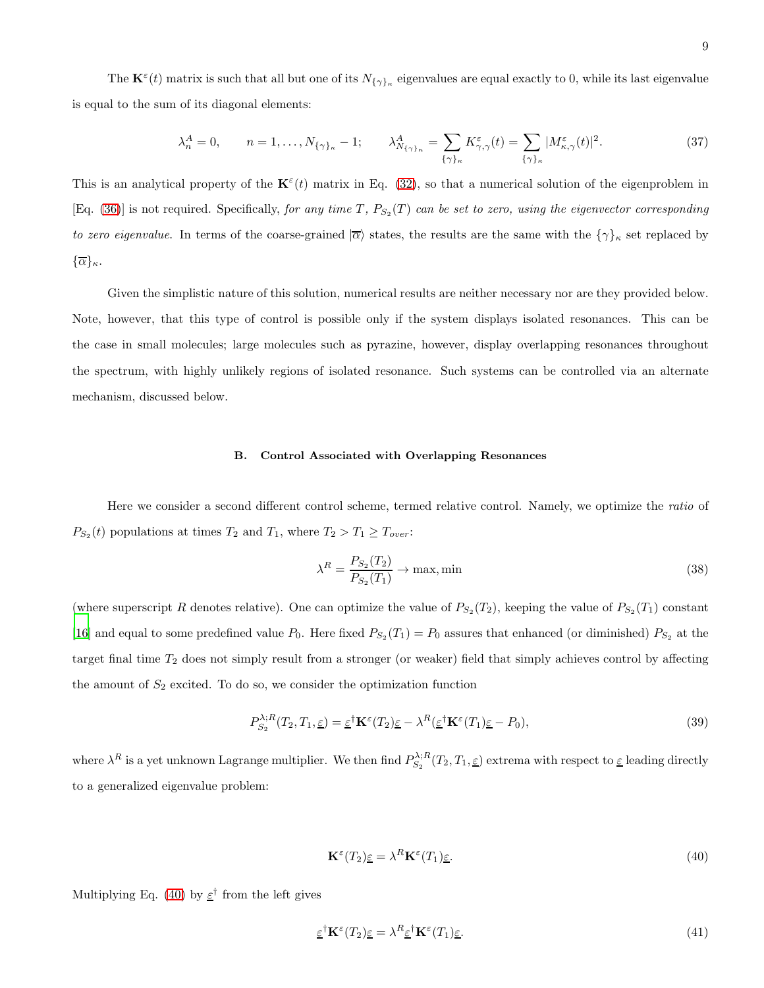The  $\mathbf{K}^{\varepsilon}(t)$  matrix is such that all but one of its  $N_{\{\gamma\}_\kappa}$  eigenvalues are equal exactly to 0, while its last eigenvalue is equal to the sum of its diagonal elements:

$$
\lambda_n^A = 0, \qquad n = 1, \dots, N_{\{\gamma\}_\kappa} - 1; \qquad \lambda_{N_{\{\gamma\}_\kappa}}^A = \sum_{\{\gamma\}_\kappa} K_{\gamma,\gamma}^\varepsilon(t) = \sum_{\{\gamma\}_\kappa} |M_{\kappa,\gamma}^\varepsilon(t)|^2. \tag{37}
$$

This is an analytical property of the  $\mathbf{K}^{\varepsilon}(t)$  matrix in Eq. [\(32\)](#page-7-2), so that a numerical solution of the eigenproblem in [Eq. [\(36\)](#page-7-5)] is not required. Specifically, for any time T,  $P_{S_2}(T)$  can be set to zero, using the eigenvector corresponding to zero eigenvalue. In terms of the coarse-grained  $|\overline{\alpha}\rangle$  states, the results are the same with the  $\{\gamma\}_\kappa$  set replaced by  ${\overline{\alpha}}_{\kappa}$ .

Given the simplistic nature of this solution, numerical results are neither necessary nor are they provided below. Note, however, that this type of control is possible only if the system displays isolated resonances. This can be the case in small molecules; large molecules such as pyrazine, however, display overlapping resonances throughout the spectrum, with highly unlikely regions of isolated resonance. Such systems can be controlled via an alternate mechanism, discussed below.

## <span id="page-8-0"></span>B. Control Associated with Overlapping Resonances

Here we consider a second different control scheme, termed relative control. Namely, we optimize the ratio of  $P_{S_2}(t)$  populations at times  $T_2$  and  $T_1$ , where  $T_2 > T_1 \ge T_{over}$ :

<span id="page-8-3"></span>
$$
\lambda^R = \frac{P_{S_2}(T_2)}{P_{S_2}(T_1)} \to \max, \min
$$
\n(38)

(where superscript R denotes relative). One can optimize the value of  $P_{S_2}(T_2)$ , keeping the value of  $P_{S_2}(T_1)$  constant [\[16\]](#page-21-1) and equal to some predefined value  $P_0$ . Here fixed  $P_{S_2}(T_1) = P_0$  assures that enhanced (or diminished)  $P_{S_2}$  at the target final time  $T_2$  does not simply result from a stronger (or weaker) field that simply achieves control by affecting the amount of  $S_2$  excited. To do so, we consider the optimization function

$$
P_{S_2}^{\lambda;R}(T_2,T_1,\underline{\varepsilon}) = \underline{\varepsilon}^\dagger \mathbf{K}^\varepsilon(T_2)\underline{\varepsilon} - \lambda^R (\underline{\varepsilon}^\dagger \mathbf{K}^\varepsilon(T_1)\underline{\varepsilon} - P_0),\tag{39}
$$

where  $\lambda^R$  is a yet unknown Lagrange multiplier. We then find  $P_{S_2}^{\lambda;R}(T_2,T_1,\underline{\varepsilon})$  extrema with respect to  $\underline{\varepsilon}$  leading directly to a generalized eigenvalue problem:

<span id="page-8-1"></span>
$$
\mathbf{K}^{\varepsilon}(T_2)\underline{\varepsilon} = \lambda^R \mathbf{K}^{\varepsilon}(T_1)\underline{\varepsilon}.\tag{40}
$$

Multiplying Eq. [\(40\)](#page-8-1) by  $\underline{\varepsilon}^{\dagger}$  from the left gives

<span id="page-8-2"></span>
$$
\underline{\varepsilon}^{\dagger} \mathbf{K}^{\varepsilon}(T_2) \underline{\varepsilon} = \lambda^R \underline{\varepsilon}^{\dagger} \mathbf{K}^{\varepsilon}(T_1) \underline{\varepsilon}.
$$
\n(41)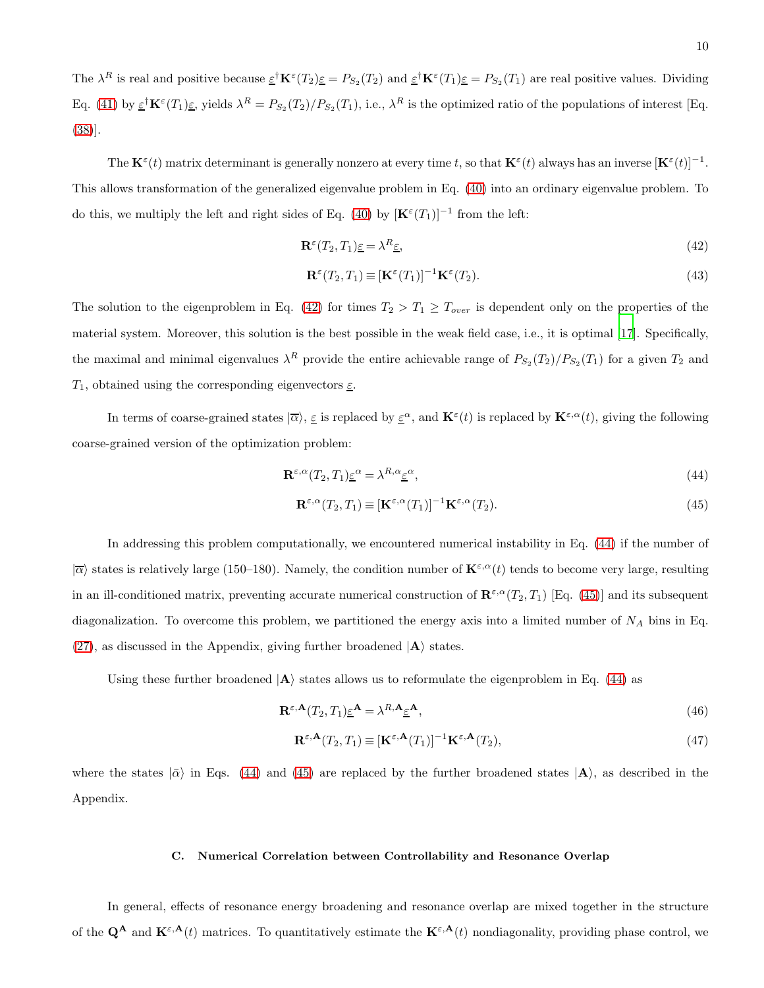The  $\lambda^R$  is real and positive because  $\underline{\varepsilon}^{\dagger} \mathbf{K}^{\varepsilon}(T_2) \underline{\varepsilon} = P_{S_2}(T_2)$  and  $\underline{\varepsilon}^{\dagger} \mathbf{K}^{\varepsilon}(T_1) \underline{\varepsilon} = P_{S_2}(T_1)$  are real positive values. Dividing Eq. [\(41\)](#page-8-2) by  $\epsilon^{\dagger} \mathbf{K}^{\epsilon}(T_1) \epsilon$ , yields  $\lambda^R = P_{S_2}(T_2)/P_{S_2}(T_1)$ , i.e.,  $\lambda^R$  is the optimized ratio of the populations of interest [Eq. [\(38\)](#page-8-3)].

The  $\mathbf{K}^{\varepsilon}(t)$  matrix determinant is generally nonzero at every time t, so that  $\mathbf{K}^{\varepsilon}(t)$  always has an inverse  $[\mathbf{K}^{\varepsilon}(t)]^{-1}$ . This allows transformation of the generalized eigenvalue problem in Eq. [\(40\)](#page-8-1) into an ordinary eigenvalue problem. To do this, we multiply the left and right sides of Eq. [\(40\)](#page-8-1) by  $[\mathbf{K}^{\varepsilon}(T_1)]^{-1}$  from the left:

<span id="page-9-0"></span>
$$
\mathbf{R}^{\varepsilon}(T_2, T_1)\underline{\varepsilon} = \lambda^R \underline{\varepsilon},\tag{42}
$$

$$
\mathbf{R}^{\varepsilon}(T_2, T_1) \equiv [\mathbf{K}^{\varepsilon}(T_1)]^{-1} \mathbf{K}^{\varepsilon}(T_2). \tag{43}
$$

The solution to the eigenproblem in Eq. [\(42\)](#page-9-0) for times  $T_2 > T_1 \geq T_{over}$  is dependent only on the properties of the material system. Moreover, this solution is the best possible in the weak field case, i.e., it is optimal [\[17\]](#page-21-2). Specifically, the maximal and minimal eigenvalues  $\lambda^R$  provide the entire achievable range of  $P_{S_2}(T_2)/P_{S_2}(T_1)$  for a given  $T_2$  and  $T_1$ , obtained using the corresponding eigenvectors  $\underline{\varepsilon}$ .

In terms of coarse-grained states  $|\overline{\alpha}\rangle$ ,  $\underline{\varepsilon}$  is replaced by  $\underline{\kappa}^{\varepsilon}(t)$  is replaced by  $\mathbf{K}^{\varepsilon,\alpha}(t)$ , giving the following coarse-grained version of the optimization problem:

<span id="page-9-1"></span>
$$
\mathbf{R}^{\varepsilon,\alpha}(T_2,T_1)\underline{\varepsilon}^{\alpha} = \lambda^{R,\alpha}\underline{\varepsilon}^{\alpha},\tag{44}
$$

$$
\mathbf{R}^{\varepsilon,\alpha}(T_2,T_1) \equiv [\mathbf{K}^{\varepsilon,\alpha}(T_1)]^{-1} \mathbf{K}^{\varepsilon,\alpha}(T_2). \tag{45}
$$

In addressing this problem computationally, we encountered numerical instability in Eq. [\(44\)](#page-9-1) if the number of  $|\overline{\alpha}\rangle$  states is relatively large (150–180). Namely, the condition number of  $\mathbf{K}^{\varepsilon,\alpha}(t)$  tends to become very large, resulting in an ill-conditioned matrix, preventing accurate numerical construction of  $\mathbb{R}^{\varepsilon,\alpha}(T_2,T_1)$  [Eq. [\(45\)](#page-9-1)] and its subsequent diagonalization. To overcome this problem, we partitioned the energy axis into a limited number of  $N_A$  bins in Eq. [\(27\)](#page-6-4), as discussed in the Appendix, giving further broadened  $|A\rangle$  states.

Using these further broadened  $|A\rangle$  states allows us to reformulate the eigenproblem in Eq. [\(44\)](#page-9-1) as

<span id="page-9-2"></span>
$$
\mathbf{R}^{\varepsilon,\mathbf{A}}(T_2,T_1)\underline{\varepsilon}^{\mathbf{A}} = \lambda^{R,\mathbf{A}}\underline{\varepsilon}^{\mathbf{A}},\tag{46}
$$

$$
\mathbf{R}^{\varepsilon,\mathbf{A}}(T_2,T_1) \equiv [\mathbf{K}^{\varepsilon,\mathbf{A}}(T_1)]^{-1} \mathbf{K}^{\varepsilon,\mathbf{A}}(T_2),\tag{47}
$$

where the states  $|\bar{\alpha}\rangle$  in Eqs. [\(44\)](#page-9-1) and [\(45\)](#page-9-1) are replaced by the further broadened states  $|A\rangle$ , as described in the Appendix.

## C. Numerical Correlation between Controllability and Resonance Overlap

In general, effects of resonance energy broadening and resonance overlap are mixed together in the structure of the  $\mathbf{Q}^{\mathbf{A}}$  and  $\mathbf{K}^{\varepsilon,\mathbf{A}}(t)$  matrices. To quantitatively estimate the  $\mathbf{K}^{\varepsilon,\mathbf{A}}(t)$  nondiagonality, providing phase control, we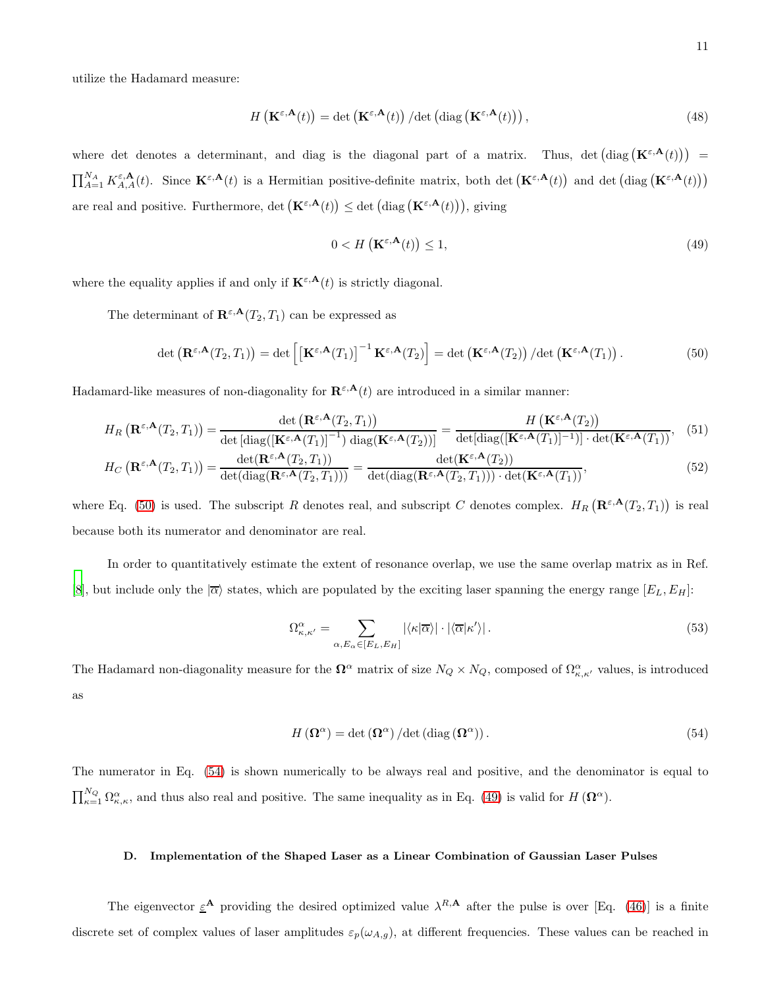<span id="page-10-3"></span>
$$
H\left(\mathbf{K}^{\varepsilon,\mathbf{A}}(t)\right) = \det\left(\mathbf{K}^{\varepsilon,\mathbf{A}}(t)\right) / \det\left(\text{diag}\left(\mathbf{K}^{\varepsilon,\mathbf{A}}(t)\right)\right),\tag{48}
$$

where det denotes a determinant, and diag is the diagonal part of a matrix. Thus, det  $(\text{diag}(\mathbf{K}^{\varepsilon,\mathbf{A}}(t)))$  =  $\prod_{A=1}^{N_A} K_{A,A}^{\varepsilon,\mathbf{A}}(t)$ . Since  $\mathbf{K}^{\varepsilon,\mathbf{A}}(t)$  is a Hermitian positive-definite matrix, both det  $(\mathbf{K}^{\varepsilon,\mathbf{A}}(t))$  and det  $(\text{diag}(\mathbf{K}^{\varepsilon,\mathbf{A}}(t)))$ are real and positive. Furthermore, det  $(\mathbf{K}^{\varepsilon,\mathbf{A}}(t)) \leq \det (\text{diag}(\mathbf{K}^{\varepsilon,\mathbf{A}}(t))),$  giving

<span id="page-10-2"></span>
$$
0 < H\left(\mathbf{K}^{\varepsilon,\mathbf{A}}(t)\right) \le 1,\tag{49}
$$

where the equality applies if and only if  $\mathbf{K}^{\varepsilon,\mathbf{A}}(t)$  is strictly diagonal.

The determinant of  $\mathbf{R}^{\varepsilon,\mathbf{A}}(T_2,T_1)$  can be expressed as

<span id="page-10-0"></span>
$$
\det\left(\mathbf{R}^{\varepsilon,\mathbf{A}}(T_2,T_1)\right) = \det\left[\left[\mathbf{K}^{\varepsilon,\mathbf{A}}(T_1)\right]^{-1}\mathbf{K}^{\varepsilon,\mathbf{A}}(T_2)\right] = \det\left(\mathbf{K}^{\varepsilon,\mathbf{A}}(T_2)\right)/\det\left(\mathbf{K}^{\varepsilon,\mathbf{A}}(T_1)\right).
$$
\n(50)

Hadamard-like measures of non-diagonality for  $\mathbf{R}^{\varepsilon,\mathbf{A}}(t)$  are introduced in a similar manner:

<span id="page-10-4"></span>
$$
H_R\left(\mathbf{R}^{\varepsilon,\mathbf{A}}(T_2,T_1)\right) = \frac{\det\left(\mathbf{R}^{\varepsilon,\mathbf{A}}(T_2,T_1)\right)}{\det\left[\text{diag}\left(\left[\mathbf{K}^{\varepsilon,\mathbf{A}}(T_1)\right]^{-1}\right)\text{diag}\left(\mathbf{K}^{\varepsilon,\mathbf{A}}(T_2)\right)\right]} = \frac{H\left(\mathbf{K}^{\varepsilon,\mathbf{A}}(T_2)\right)}{\det\left[\text{diag}\left(\left[\mathbf{K}^{\varepsilon,\mathbf{A}}(T_1)\right]^{-1}\right)\right] \cdot \det\left(\mathbf{K}^{\varepsilon,\mathbf{A}}(T_1)\right)},\tag{51}
$$

$$
H_C\left(\mathbf{R}^{\varepsilon,\mathbf{A}}(T_2,T_1)\right) = \frac{\det(\mathbf{R}^{\varepsilon,\mathbf{A}}(T_2,T_1))}{\det(\text{diag}(\mathbf{R}^{\varepsilon,\mathbf{A}}(T_2,T_1)))} = \frac{\det(\mathbf{R}^{\varepsilon,\mathbf{A}}(T_2,T_1))}{\det(\text{diag}(\mathbf{R}^{\varepsilon,\mathbf{A}}(T_2,T_1))) \cdot \det(\mathbf{K}^{\varepsilon,\mathbf{A}}(T_1))},\tag{52}
$$

where Eq. [\(50\)](#page-10-0) is used. The subscript R denotes real, and subscript C denotes complex.  $H_R(\mathbf{R}^{\varepsilon,\mathbf{A}}(T_2,T_1))$  is real because both its numerator and denominator are real.

In order to quantitatively estimate the extent of resonance overlap, we use the same overlap matrix as in Ref. [\[8\]](#page-20-6), but include only the  $|\overline{\alpha}\rangle$  states, which are populated by the exciting laser spanning the energy range  $[E_L, E_H]$ :

$$
\Omega_{\kappa,\kappa'}^{\alpha} = \sum_{\alpha,E_{\alpha} \in [E_L,E_H]} |\langle \kappa | \overline{\alpha} \rangle| \cdot |\langle \overline{\alpha} | \kappa' \rangle|.
$$
\n(53)

The Hadamard non-diagonality measure for the  $\Omega^{\alpha}$  matrix of size  $N_Q \times N_Q$ , composed of  $\Omega^{\alpha}_{\kappa,\kappa'}$  values, is introduced as

<span id="page-10-1"></span>
$$
H\left(\Omega^{\alpha}\right) = \det\left(\Omega^{\alpha}\right)/\det\left(\text{diag}\left(\Omega^{\alpha}\right)\right). \tag{54}
$$

The numerator in Eq. [\(54\)](#page-10-1) is shown numerically to be always real and positive, and the denominator is equal to  $\prod_{\kappa=1}^{N_Q} \Omega_{\kappa,\kappa}^{\alpha}$ , and thus also real and positive. The same inequality as in Eq. [\(49\)](#page-10-2) is valid for  $H(\mathbf{\Omega}^{\alpha})$ .

## D. Implementation of the Shaped Laser as a Linear Combination of Gaussian Laser Pulses

The eigenvector  $\epsilon^A$  providing the desired optimized value  $\lambda^{R,A}$  after the pulse is over [Eq. [\(46\)](#page-9-2)] is a finite discrete set of complex values of laser amplitudes  $\varepsilon_p(\omega_{A,g})$ , at different frequencies. These values can be reached in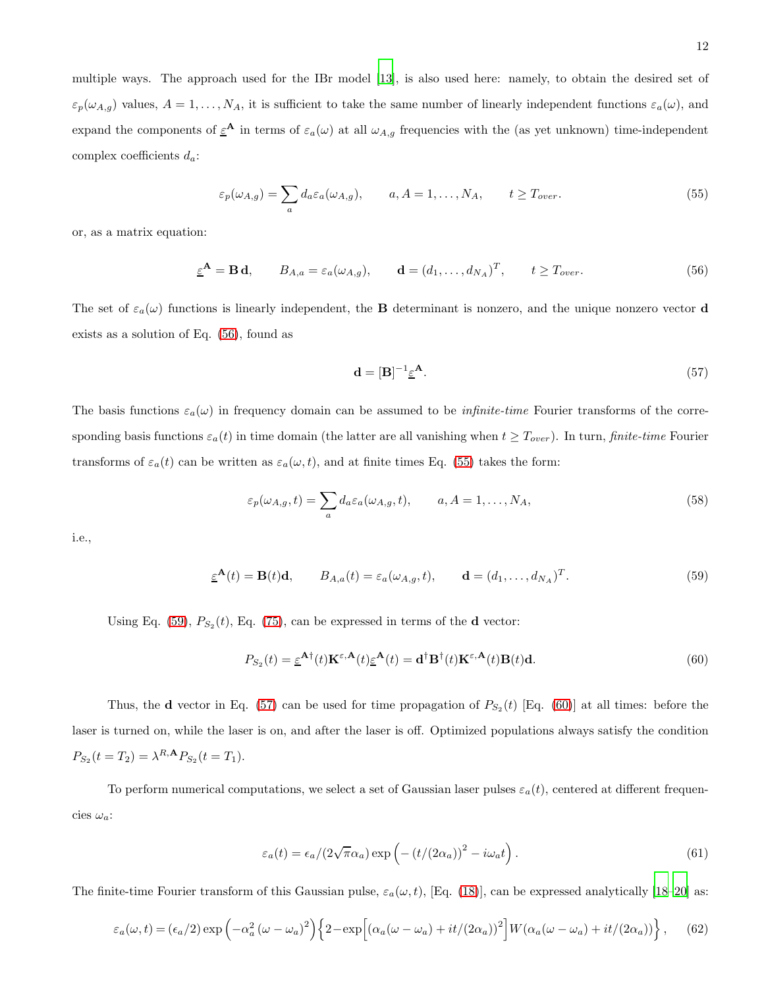multiple ways. The approach used for the IBr model [\[13\]](#page-20-12), is also used here: namely, to obtain the desired set of  $\varepsilon_p(\omega_{A,g})$  values,  $A = 1, \ldots, N_A$ , it is sufficient to take the same number of linearly independent functions  $\varepsilon_a(\omega)$ , and expand the components of  $\epsilon^A$  in terms of  $\epsilon_a(\omega)$  at all  $\omega_{A,g}$  frequencies with the (as yet unknown) time-independent complex coefficients  $d_a$ :

<span id="page-11-1"></span>
$$
\varepsilon_p(\omega_{A,g}) = \sum_a d_a \varepsilon_a(\omega_{A,g}), \qquad a, A = 1, \dots, N_A, \qquad t \ge T_{over}.
$$
\n(55)

or, as a matrix equation:

<span id="page-11-0"></span>
$$
\underline{\varepsilon}^{\mathbf{A}} = \mathbf{B} \mathbf{d}, \qquad B_{A,a} = \varepsilon_a(\omega_{A,g}), \qquad \mathbf{d} = (d_1, \dots, d_{N_A})^T, \qquad t \ge T_{over}.
$$

The set of  $\varepsilon_a(\omega)$  functions is linearly independent, the **B** determinant is nonzero, and the unique nonzero vector **d** exists as a solution of Eq. [\(56\)](#page-11-0), found as

<span id="page-11-3"></span>
$$
\mathbf{d} = [\mathbf{B}]^{-1} \underline{\varepsilon}^{\mathbf{A}}.
$$
 (57)

The basis functions  $\varepsilon_a(\omega)$  in frequency domain can be assumed to be *infinite-time* Fourier transforms of the corresponding basis functions  $\varepsilon_a(t)$  in time domain (the latter are all vanishing when  $t \geq T_{over}$ ). In turn, finite-time Fourier transforms of  $\varepsilon_a(t)$  can be written as  $\varepsilon_a(\omega, t)$ , and at finite times Eq. [\(55\)](#page-11-1) takes the form:

<span id="page-11-6"></span>
$$
\varepsilon_p(\omega_{A,g}, t) = \sum_a d_a \varepsilon_a(\omega_{A,g}, t), \qquad a, A = 1, \dots, N_A,
$$
\n(58)

i.e.,

<span id="page-11-2"></span>
$$
\underline{\varepsilon}^{\mathbf{A}}(t) = \mathbf{B}(t)\mathbf{d}, \qquad B_{A,a}(t) = \varepsilon_a(\omega_{A,g}, t), \qquad \mathbf{d} = (d_1, \dots, d_{N_A})^T. \tag{59}
$$

Using Eq. [\(59\)](#page-11-2),  $P_{S_2}(t)$ , Eq. [\(75\)](#page-23-0), can be expressed in terms of the **d** vector:

<span id="page-11-4"></span>
$$
P_{S_2}(t) = \underline{\varepsilon}^{\mathbf{A} \dagger}(t) \mathbf{K}^{\varepsilon, \mathbf{A}}(t) \underline{\varepsilon}^{\mathbf{A}}(t) = \mathbf{d}^{\dagger} \mathbf{B}^{\dagger}(t) \mathbf{K}^{\varepsilon, \mathbf{A}}(t) \mathbf{B}(t) \mathbf{d}.
$$
 (60)

Thus, the **d** vector in Eq. [\(57\)](#page-11-3) can be used for time propagation of  $P_{S_2}(t)$  [Eq. [\(60\)](#page-11-4)] at all times: before the laser is turned on, while the laser is on, and after the laser is off. Optimized populations always satisfy the condition  $P_{S_2}(t=T_2) = \lambda^{R,\mathbf{A}} P_{S_2}(t=T_1).$ 

To perform numerical computations, we select a set of Gaussian laser pulses  $\varepsilon_a(t)$ , centered at different frequencies  $\omega_a$ :

<span id="page-11-5"></span>
$$
\varepsilon_a(t) = \varepsilon_a / (2\sqrt{\pi}\alpha_a) \exp\left(-\left(t/(2\alpha_a)\right)^2 - i\omega_a t\right). \tag{61}
$$

The finite-time Fourier transform of this Gaussian pulse,  $\varepsilon_a(\omega, t)$ , [Eq. [\(18\)](#page-4-8)], can be expressed analytically [\[18](#page-21-3)[–20\]](#page-21-4) as:

<span id="page-11-7"></span>
$$
\varepsilon_a(\omega, t) = (\epsilon_a/2) \exp\left(-\alpha_a^2 (\omega - \omega_a)^2\right) \left\{2 - \exp\left[\left(\alpha_a (\omega - \omega_a) + it/(2\alpha_a)\right)^2\right] W(\alpha_a (\omega - \omega_a) + it/(2\alpha_a))\right\},\tag{62}
$$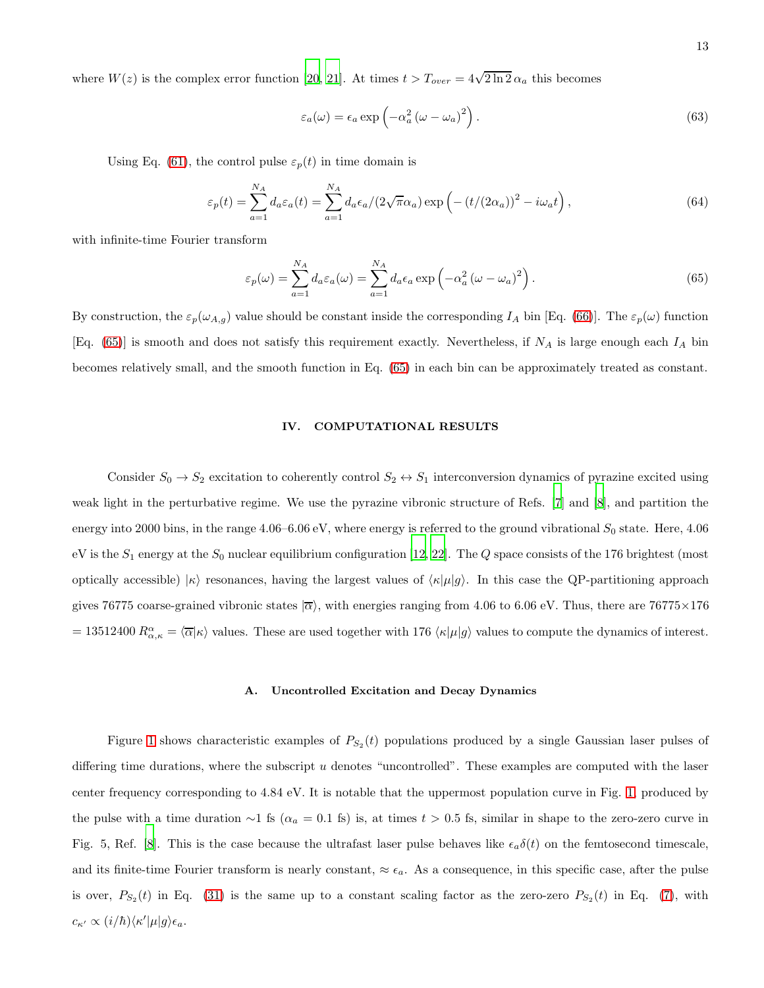where  $W(z)$  is the complex error function [\[20,](#page-21-4) [21](#page-21-5)]. At times  $t > T_{over} = 4\sqrt{2 \ln 2} \alpha_a$  this becomes

$$
\varepsilon_a(\omega) = \varepsilon_a \exp\left(-\alpha_a^2 \left(\omega - \omega_a\right)^2\right). \tag{63}
$$

Using Eq. [\(61\)](#page-11-5), the control pulse  $\varepsilon_p(t)$  in time domain is

<span id="page-12-2"></span>
$$
\varepsilon_p(t) = \sum_{a=1}^{N_A} d_a \varepsilon_a(t) = \sum_{a=1}^{N_A} d_a \varepsilon_a / (2\sqrt{\pi}\alpha_a) \exp\left(-\left(t/(2\alpha_a)\right)^2 - i\omega_a t\right),\tag{64}
$$

with infinite-time Fourier transform

<span id="page-12-1"></span>
$$
\varepsilon_p(\omega) = \sum_{a=1}^{N_A} d_a \varepsilon_a(\omega) = \sum_{a=1}^{N_A} d_a \varepsilon_a \exp\left(-\alpha_a^2 (\omega - \omega_a)^2\right).
$$
 (65)

By construction, the  $\varepsilon_p(\omega_{A,g})$  value should be constant inside the corresponding  $I_A$  bin [Eq. [\(66\)](#page-22-0)]. The  $\varepsilon_p(\omega)$  function [Eq. [\(65\)](#page-12-1)] is smooth and does not satisfy this requirement exactly. Nevertheless, if  $N_A$  is large enough each  $I_A$  bin becomes relatively small, and the smooth function in Eq. [\(65\)](#page-12-1) in each bin can be approximately treated as constant.

## <span id="page-12-0"></span>IV. COMPUTATIONAL RESULTS

Consider  $S_0 \to S_2$  excitation to coherently control  $S_2 \leftrightarrow S_1$  interconversion dynamics of pyrazine excited using weak light in the perturbative regime. We use the pyrazine vibronic structure of Refs. [\[7](#page-20-10)] and [\[8\]](#page-20-6), and partition the energy into 2000 bins, in the range  $4.06-6.06$  eV, where energy is referred to the ground vibrational  $S_0$  state. Here,  $4.06$ eV is the  $S_1$  energy at the  $S_0$  nuclear equilibrium configuration [\[12,](#page-20-11) [22](#page-21-6)]. The  $Q$  space consists of the 176 brightest (most optically accessible)  $|\kappa\rangle$  resonances, having the largest values of  $\langle \kappa | \mu | g \rangle$ . In this case the QP-partitioning approach gives 76775 coarse-grained vibronic states  $|\overline{\alpha}\rangle$ , with energies ranging from 4.06 to 6.06 eV. Thus, there are 76775×176 = 13512400  $R^{\alpha}_{\alpha,\kappa} = \langle \overline{\alpha} | \kappa \rangle$  values. These are used together with 176  $\langle \kappa | \mu | g \rangle$  values to compute the dynamics of interest.

#### A. Uncontrolled Excitation and Decay Dynamics

Figure [1](#page-13-0) shows characteristic examples of  $P_{S_2}(t)$  populations produced by a single Gaussian laser pulses of differing time durations, where the subscript  $u$  denotes "uncontrolled". These examples are computed with the laser center frequency corresponding to 4.84 eV. It is notable that the uppermost population curve in Fig. [1,](#page-13-0) produced by the pulse with a time duration ∼1 fs ( $\alpha_a = 0.1$  fs) is, at times  $t > 0.5$  fs, similar in shape to the zero-zero curve in Fig. 5, Ref. [\[8\]](#page-20-6). This is the case because the ultrafast laser pulse behaves like  $\epsilon_a \delta(t)$  on the femtosecond timescale, and its finite-time Fourier transform is nearly constant,  $\approx \epsilon_a$ . As a consequence, in this specific case, after the pulse is over,  $P_{S_2}(t)$  in Eq. [\(31\)](#page-6-3) is the same up to a constant scaling factor as the zero-zero  $P_{S_2}(t)$  in Eq. [\(7\)](#page-2-6), with  $c_{\kappa'} \propto (i/\hbar) \langle \kappa' | \mu | g \rangle \epsilon_a.$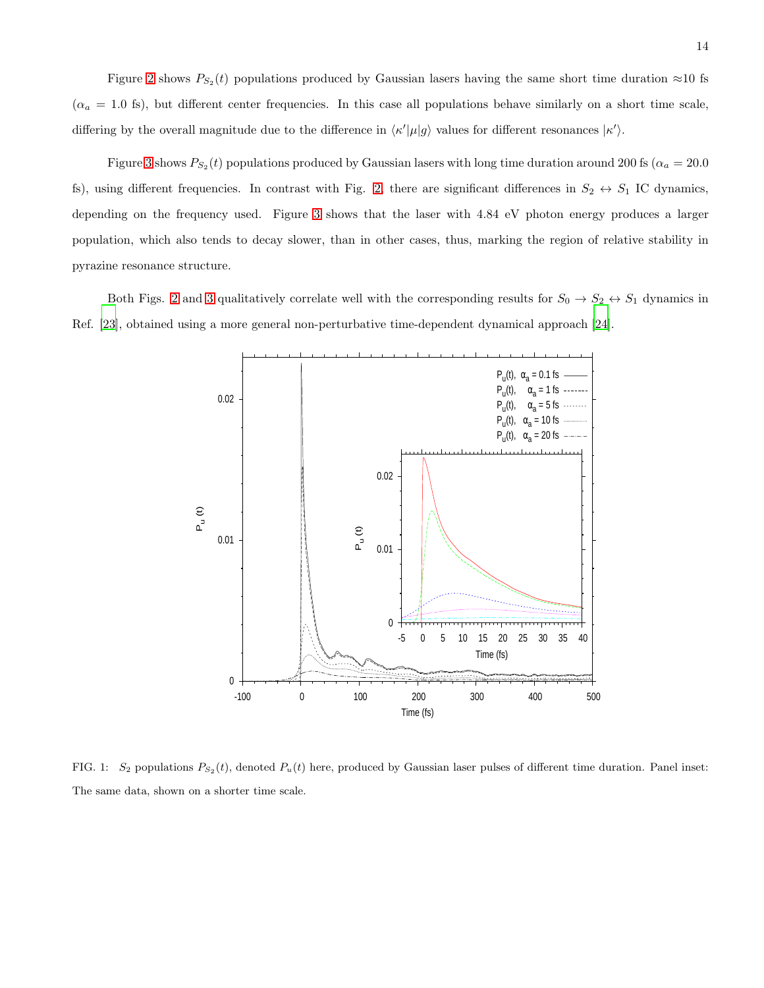Figure [2](#page-14-0) shows  $P_{S_2}(t)$  populations produced by Gaussian lasers having the same short time duration  $\approx 10$  fs  $(\alpha_a = 1.0 \text{ fs})$ , but different center frequencies. In this case all populations behave similarly on a short time scale, differing by the overall magnitude due to the difference in  $\langle \kappa' | \mu | g \rangle$  values for different resonances  $|\kappa' \rangle$ .

Figure [3](#page-15-0) shows  $P_{S_2}(t)$  populations produced by Gaussian lasers with long time duration around 200 fs ( $\alpha_a = 20.0$ ) fs), using different frequencies. In contrast with Fig. [2,](#page-14-0) there are significant differences in  $S_2 \leftrightarrow S_1$  IC dynamics, depending on the frequency used. Figure [3](#page-15-0) shows that the laser with 4.84 eV photon energy produces a larger population, which also tends to decay slower, than in other cases, thus, marking the region of relative stability in pyrazine resonance structure.

Both Figs. [2](#page-14-0) and [3](#page-15-0) qualitatively correlate well with the corresponding results for  $S_0 \to S_2 \leftrightarrow S_1$  dynamics in Ref. [\[23\]](#page-21-7), obtained using a more general non-perturbative time-dependent dynamical approach [\[24](#page-21-8)].



<span id="page-13-0"></span>FIG. 1:  $S_2$  populations  $P_{S_2}(t)$ , denoted  $P_u(t)$  here, produced by Gaussian laser pulses of different time duration. Panel inset: The same data, shown on a shorter time scale.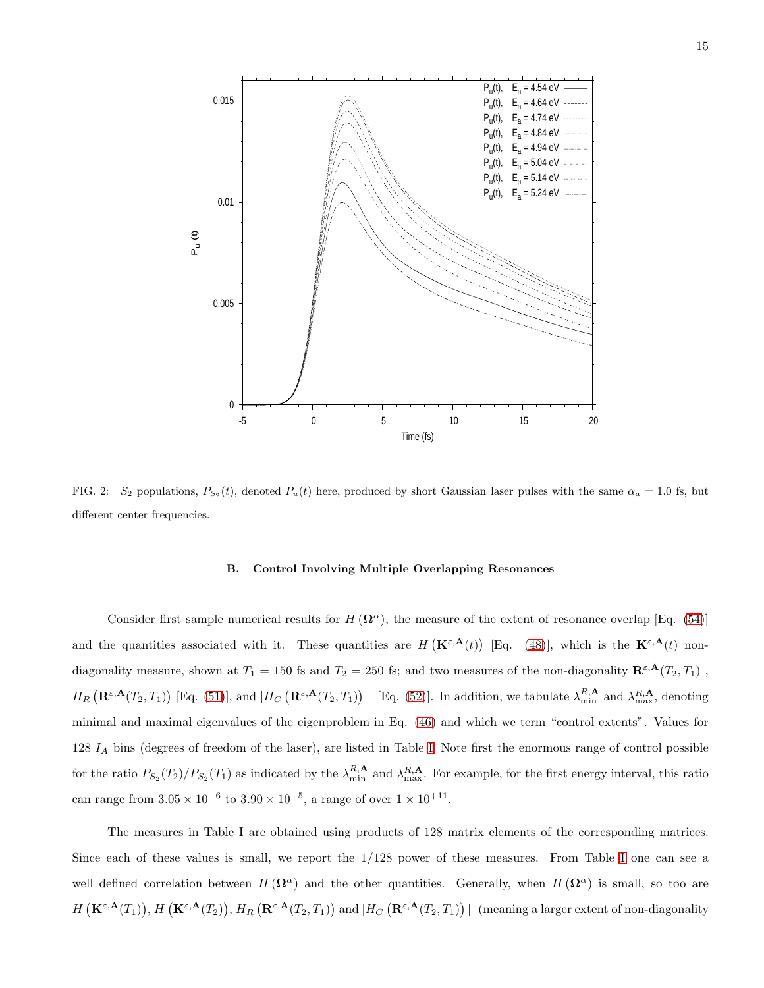

<span id="page-14-0"></span>FIG. 2: S<sub>2</sub> populations,  $P_{S_2}(t)$ , denoted  $P_u(t)$  here, produced by short Gaussian laser pulses with the same  $\alpha_a = 1.0$  fs, but different center frequencies.

#### B. Control Involving Multiple Overlapping Resonances

Consider first sample numerical results for  $H(\Omega^{\alpha})$ , the measure of the extent of resonance overlap [Eq. [\(54\)](#page-10-1)] and the quantities associated with it. These quantities are  $H(\mathbf{K}^{\varepsilon,\mathbf{A}}(t))$  [Eq. [\(48\)](#page-10-3)], which is the  $\mathbf{K}^{\varepsilon,\mathbf{A}}(t)$  nondiagonality measure, shown at  $T_1 = 150$  fs and  $T_2 = 250$  fs; and two measures of the non-diagonality  $\mathbb{R}^{\varepsilon,\mathbf{A}}(T_2,T_1)$ ,  $H_R\left(\mathbf{R}^{\varepsilon,\mathbf{A}}(T_2,T_1)\right)$  [Eq. [\(51\)](#page-10-4)], and  $|H_C\left(\mathbf{R}^{\varepsilon,\mathbf{A}}(T_2,T_1)\right)|$  [Eq. [\(52\)](#page-10-4)]. In addition, we tabulate  $\lambda_{\min}^{R,\mathbf{A}}$  and  $\lambda_{\max}^{R,\mathbf{A}}$ , denoting minimal and maximal eigenvalues of the eigenproblem in Eq. [\(46\)](#page-9-2) and which we term "control extents". Values for  $128 I<sub>A</sub>$  bins (degrees of freedom of the laser), are listed in Table [I.](#page-15-1) Note first the enormous range of control possible for the ratio  $P_{S_2}(T_2)/P_{S_2}(T_1)$  as indicated by the  $\lambda_{\min}^{R,\mathbf{A}}$  and  $\lambda_{\max}^{R,\mathbf{A}}$ . For example, for the first energy interval, this ratio can range from  $3.05 \times 10^{-6}$  to  $3.90 \times 10^{+5}$ , a range of over  $1 \times 10^{+11}$ .

The measures in Table I are obtained using products of 128 matrix elements of the corresponding matrices. Since each of these values is small, we report the 1/128 power of these measures. From Table [I](#page-15-1) one can see a well defined correlation between  $H(\Omega^{\alpha})$  and the other quantities. Generally, when  $H(\Omega^{\alpha})$  is small, so too are  $H\left(\mathbf{K}^{\varepsilon,\mathbf{A}}(T_1)\right), H\left(\mathbf{K}^{\varepsilon,\mathbf{A}}(T_2)\right), H_R\left(\mathbf{R}^{\varepsilon,\mathbf{A}}(T_2,T_1)\right)$  and  $|H_C\left(\mathbf{R}^{\varepsilon,\mathbf{A}}(T_2,T_1)\right)|$  (meaning a larger extent of non-diagonality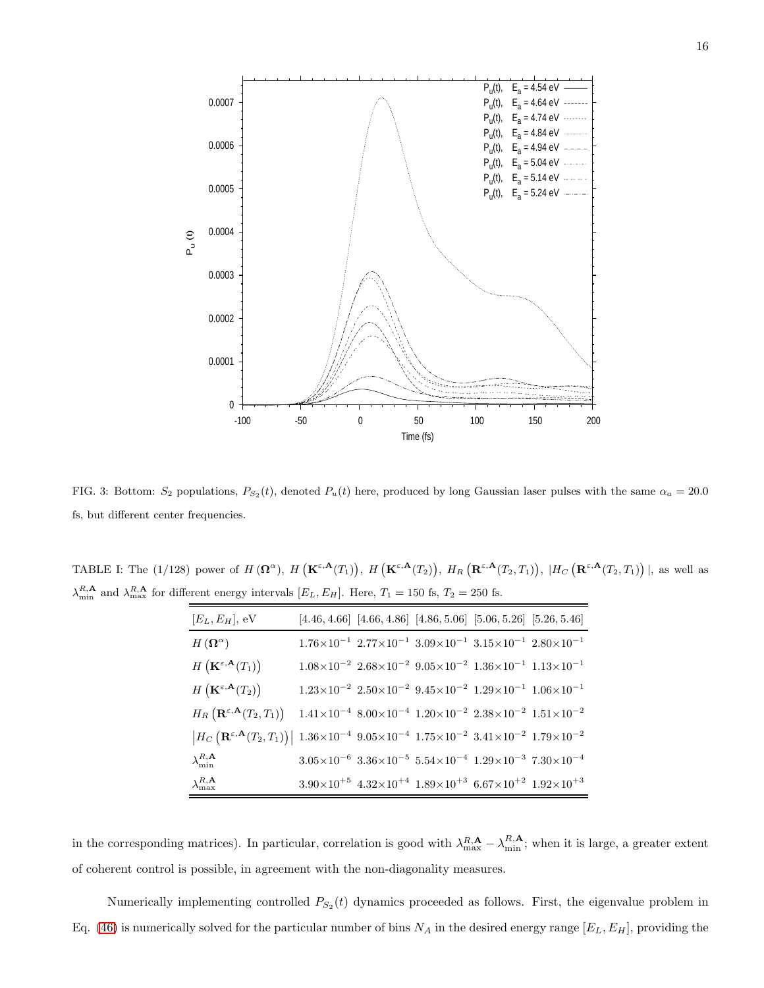

<span id="page-15-0"></span>FIG. 3: Bottom:  $S_2$  populations,  $P_{S_2}(t)$ , denoted  $P_u(t)$  here, produced by long Gaussian laser pulses with the same  $\alpha_a = 20.0$ fs, but different center frequencies.

<span id="page-15-1"></span>TABLE I: The (1/128) power of  $H(\mathbf{\Omega}^{\alpha})$ ,  $H(\mathbf{K}^{\varepsilon,\mathbf{A}}(T_1))$ ,  $H(\mathbf{K}^{\varepsilon,\mathbf{A}}(T_2))$ ,  $H_R(\mathbf{R}^{\varepsilon,\mathbf{A}}(T_2,T_1))$ ,  $H_C(\mathbf{R}^{\varepsilon,\mathbf{A}}(T_2,T_1))$ , as well as  $\lambda_{\min}^{R,\mathbf{A}}$  and  $\lambda_{\max}^{R,\mathbf{A}}$  for different energy intervals  $[E_L, E_H]$ . Here,  $T_1 = 150$  fs,  $T_2 = 250$  fs.

| $[E_L, E_H]$ , eV                                                                                                                                                                         |                                                                                                                       |  | $[4.46, 4.66]$ $[4.66, 4.86]$ $[4.86, 5.06]$ $[5.06, 5.26]$ $[5.26, 5.46]$                                                |
|-------------------------------------------------------------------------------------------------------------------------------------------------------------------------------------------|-----------------------------------------------------------------------------------------------------------------------|--|---------------------------------------------------------------------------------------------------------------------------|
| $H\left(\mathbf{\Omega}^{\alpha}\right)$                                                                                                                                                  | $1.76{\times}10^{-1}\;\; 2.77{\times}10^{-1}\;\; 3.09{\times}10^{-1}\;\; 3.15{\times}10^{-1}\;\; 2.80{\times}10^{-1}$ |  |                                                                                                                           |
| $H\left(\mathbf{K}^{\varepsilon,\mathbf{A}}(T_1)\right)$                                                                                                                                  | $1.08\times10^{-2}$ $2.68\times10^{-2}$ $9.05\times10^{-2}$ $1.36\times10^{-1}$ $1.13\times10^{-1}$                   |  |                                                                                                                           |
| $H\left(\mathbf{K}^{\varepsilon,\mathbf{A}}(T_2)\right)$                                                                                                                                  |                                                                                                                       |  | $1.23 \times 10^{-2}$ $2.50 \times 10^{-2}$ $9.45 \times 10^{-2}$ $1.29 \times 10^{-1}$ $1.06 \times 10^{-1}$             |
| $H_R\left(\mathbf{R}^{\varepsilon,\mathbf{A}}(T_2,T_1)\right)$                                                                                                                            |                                                                                                                       |  | $1.41{\times}10^{-4}$ $8.00{\times}10^{-4}$ $1.20{\times}10^{-2}$ $2.38{\times}10^{-2}$ $1.51{\times}10^{-2}$             |
| $\left H_C\left(\mathbf{R}^{\varepsilon,\mathbf{A}}(T_2,T_1)\right)\right $ 1.36×10 <sup>-4</sup> 9.05×10 <sup>-4</sup> 1.75×10 <sup>-2</sup> 3.41×10 <sup>-2</sup> 1.79×10 <sup>-2</sup> |                                                                                                                       |  |                                                                                                                           |
| $\lambda_{\min}^{R,\mathbf{A}}$                                                                                                                                                           |                                                                                                                       |  | $3.05{\times}10^{-6}\  \, 3.36{\times}10^{-5}\  \, 5.54{\times}10^{-4}\  \, 1.29{\times}10^{-3}\  \, 7.30{\times}10^{-4}$ |
| $\lambda_{\max}^{R,\mathbf{A}}$                                                                                                                                                           | $3.90\times10^{+5}$ $4.32\times10^{+4}$ $1.89\times10^{+3}$ $6.67\times10^{+2}$ $1.92\times10^{+3}$                   |  |                                                                                                                           |

in the corresponding matrices). In particular, correlation is good with  $\lambda_{\max}^{R,\mathbf{A}} - \lambda_{\min}^{R,\mathbf{A}}$ ; when it is large, a greater extent of coherent control is possible, in agreement with the non-diagonality measures.

Numerically implementing controlled  $P_{S_2}(t)$  dynamics proceeded as follows. First, the eigenvalue problem in Eq. [\(46\)](#page-9-2) is numerically solved for the particular number of bins  $N_A$  in the desired energy range  $[E_L, E_H]$ , providing the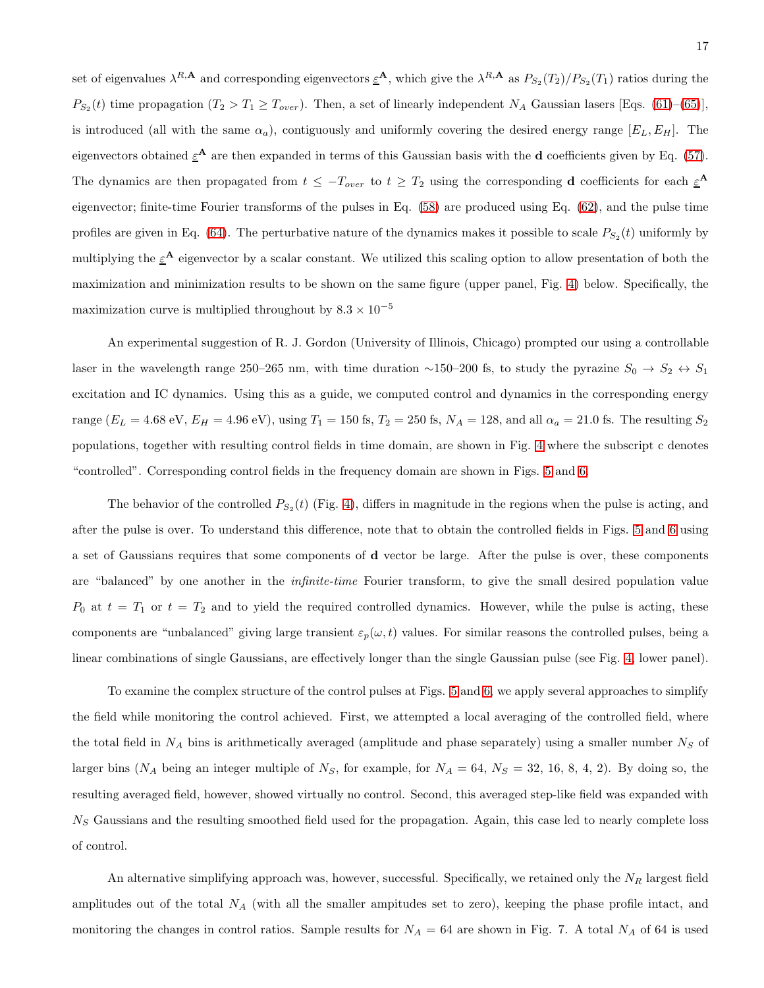set of eigenvalues  $\lambda^{R,\mathbf{A}}$  and corresponding eigenvectors  $\underline{\varepsilon}^{\mathbf{A}}$ , which give the  $\lambda^{R,\mathbf{A}}$  as  $P_{S_2}(T_2)/P_{S_2}(T_1)$  ratios during the  $P_{S_2}(t)$  time propagation  $(T_2 > T_1 \ge T_{over})$ . Then, a set of linearly independent  $N_A$  Gaussian lasers [Eqs. [\(61\)](#page-11-5)–[\(65\)](#page-12-1)], is introduced (all with the same  $\alpha_a$ ), contiguously and uniformly covering the desired energy range  $[E_L, E_H]$ . The eigenvectors obtained  $\underline{\varepsilon}^{\mathbf{A}}$  are then expanded in terms of this Gaussian basis with the **d** coefficients given by Eq. [\(57\)](#page-11-3). The dynamics are then propagated from  $t \leq -T_{over}$  to  $t \geq T_2$  using the corresponding **d** coefficients for each  $\underline{\varepsilon}^{\mathbf{A}}$ eigenvector; finite-time Fourier transforms of the pulses in Eq. [\(58\)](#page-11-6) are produced using Eq. [\(62\)](#page-11-7), and the pulse time profiles are given in Eq. [\(64\)](#page-12-2). The perturbative nature of the dynamics makes it possible to scale  $P_{S_2}(t)$  uniformly by multiplying the  $\underline{\varepsilon}^{\mathbf{A}}$  eigenvector by a scalar constant. We utilized this scaling option to allow presentation of both the maximization and minimization results to be shown on the same figure (upper panel, Fig. [4\)](#page-17-0) below. Specifically, the maximization curve is multiplied throughout by  $8.3 \times 10^{-5}$ 

An experimental suggestion of R. J. Gordon (University of Illinois, Chicago) prompted our using a controllable laser in the wavelength range 250–265 nm, with time duration ~150–200 fs, to study the pyrazine  $S_0 \to S_2 \leftrightarrow S_1$ excitation and IC dynamics. Using this as a guide, we computed control and dynamics in the corresponding energy range ( $E_L = 4.68$  eV,  $E_H = 4.96$  eV), using  $T_1 = 150$  fs,  $T_2 = 250$  fs,  $N_A = 128$ , and all  $\alpha_a = 21.0$  fs. The resulting  $S_2$ populations, together with resulting control fields in time domain, are shown in Fig. [4](#page-17-0) where the subscript c denotes "controlled". Corresponding control fields in the frequency domain are shown in Figs. [5](#page-18-1) and [6.](#page-19-0)

The behavior of the controlled  $P_{S_2}(t)$  (Fig. [4\)](#page-17-0), differs in magnitude in the regions when the pulse is acting, and after the pulse is over. To understand this difference, note that to obtain the controlled fields in Figs. [5](#page-18-1) and [6](#page-19-0) using a set of Gaussians requires that some components of d vector be large. After the pulse is over, these components are "balanced" by one another in the *infinite-time* Fourier transform, to give the small desired population value  $P_0$  at  $t = T_1$  or  $t = T_2$  and to yield the required controlled dynamics. However, while the pulse is acting, these components are "unbalanced" giving large transient  $\varepsilon_p(\omega, t)$  values. For similar reasons the controlled pulses, being a linear combinations of single Gaussians, are effectively longer than the single Gaussian pulse (see Fig. [4,](#page-17-0) lower panel).

To examine the complex structure of the control pulses at Figs. [5](#page-18-1) and [6,](#page-19-0) we apply several approaches to simplify the field while monitoring the control achieved. First, we attempted a local averaging of the controlled field, where the total field in  $N_A$  bins is arithmetically averaged (amplitude and phase separately) using a smaller number  $N_S$  of larger bins ( $N_A$  being an integer multiple of  $N_S$ , for example, for  $N_A = 64$ ,  $N_S = 32$ , 16, 8, 4, 2). By doing so, the resulting averaged field, however, showed virtually no control. Second, this averaged step-like field was expanded with  $N<sub>S</sub>$  Gaussians and the resulting smoothed field used for the propagation. Again, this case led to nearly complete loss of control.

An alternative simplifying approach was, however, successful. Specifically, we retained only the  $N_R$  largest field amplitudes out of the total  $N_A$  (with all the smaller ampitudes set to zero), keeping the phase profile intact, and monitoring the changes in control ratios. Sample results for  $N_A = 64$  are shown in Fig. 7. A total  $N_A$  of 64 is used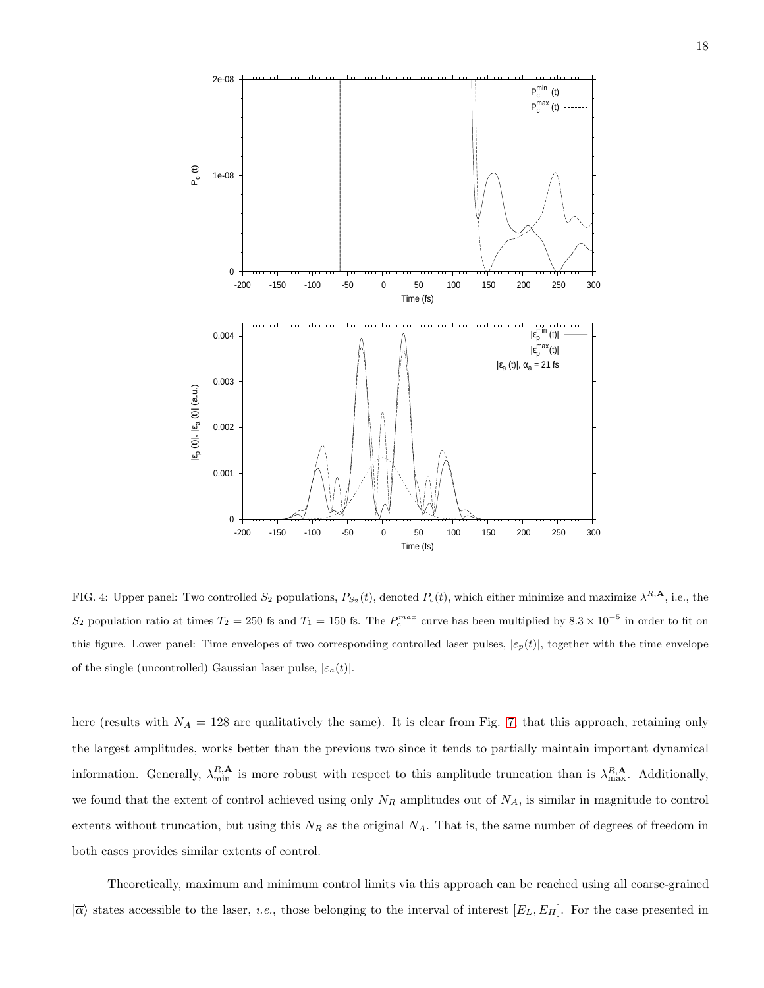

<span id="page-17-0"></span>FIG. 4: Upper panel: Two controlled  $S_2$  populations,  $P_{S_2}(t)$ , denoted  $P_c(t)$ , which either minimize and maximize  $\lambda^{R,\mathbf{A}}$ , i.e., the S<sub>2</sub> population ratio at times  $T_2 = 250$  fs and  $T_1 = 150$  fs. The  $P_c^{max}$  curve has been multiplied by  $8.3 \times 10^{-5}$  in order to fit on this figure. Lower panel: Time envelopes of two corresponding controlled laser pulses,  $|\varepsilon_p(t)|$ , together with the time envelope of the single (uncontrolled) Gaussian laser pulse,  $|\varepsilon_a(t)|$ .

here (results with  $N_A = 128$  are qualitatively the same). It is clear from Fig. [7,](#page-20-14) that this approach, retaining only the largest amplitudes, works better than the previous two since it tends to partially maintain important dynamical information. Generally,  $\lambda_{\min}^{R,\mathbf{A}}$  is more robust with respect to this amplitude truncation than is  $\lambda_{\max}^{R,\mathbf{A}}$ . Additionally, we found that the extent of control achieved using only  $N_R$  amplitudes out of  $N_A$ , is similar in magnitude to control extents without truncation, but using this  $N_R$  as the original  $N_A$ . That is, the same number of degrees of freedom in both cases provides similar extents of control.

Theoretically, maximum and minimum control limits via this approach can be reached using all coarse-grained  $|\overline{\alpha}\rangle$  states accessible to the laser, *i.e.*, those belonging to the interval of interest  $[E_L, E_H]$ . For the case presented in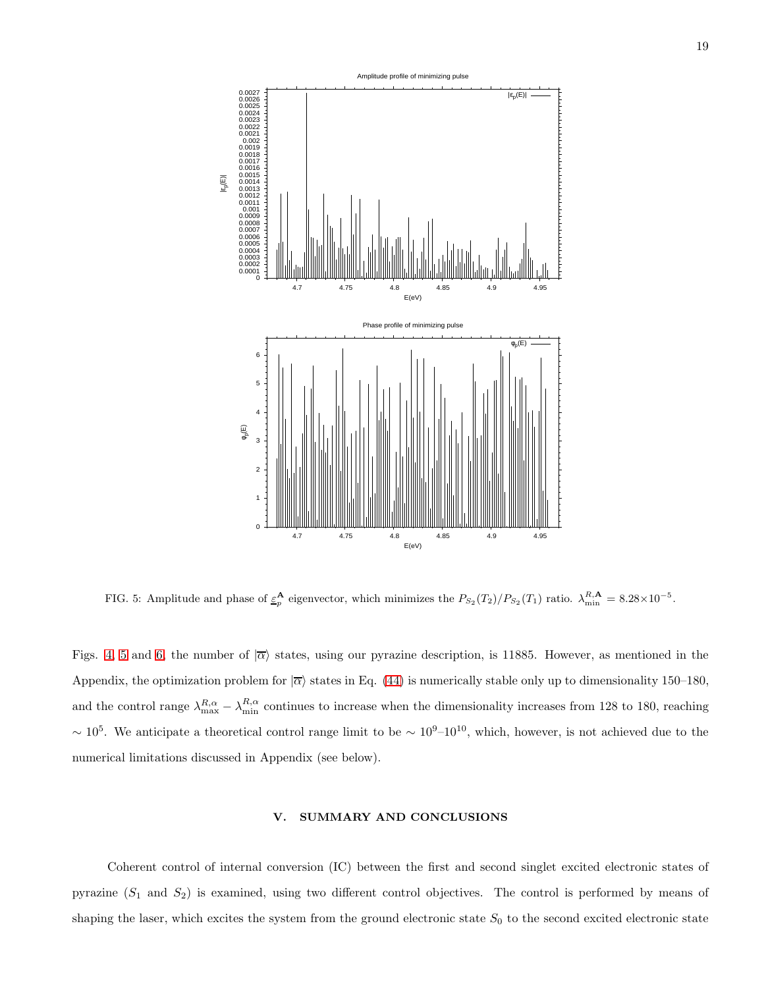

<span id="page-18-1"></span>FIG. 5: Amplitude and phase of  $\underline{\varepsilon}_p^{\mathbf{A}}$  eigenvector, which minimizes the  $P_{S_2}(T_2)/P_{S_2}(T_1)$  ratio.  $\lambda_{\min}^{R,\mathbf{A}} = 8.28 \times 10^{-5}$ .

Figs. [4,](#page-17-0) [5](#page-18-1) and [6,](#page-19-0) the number of  $\overline{\alpha}$  states, using our pyrazine description, is 11885. However, as mentioned in the Appendix, the optimization problem for  $|\overline{\alpha}\rangle$  states in Eq. [\(44\)](#page-9-1) is numerically stable only up to dimensionality 150–180, and the control range  $\lambda_{\max}^{R,\alpha} - \lambda_{\min}^{R,\alpha}$  continues to increase when the dimensionality increases from 128 to 180, reaching  $\sim 10^5$ . We anticipate a theoretical control range limit to be  $\sim 10^9$ – $10^{10}$ , which, however, is not achieved due to the numerical limitations discussed in Appendix (see below).

## <span id="page-18-0"></span>V. SUMMARY AND CONCLUSIONS

Coherent control of internal conversion (IC) between the first and second singlet excited electronic states of pyrazine  $(S_1 \text{ and } S_2)$  is examined, using two different control objectives. The control is performed by means of shaping the laser, which excites the system from the ground electronic state  $S_0$  to the second excited electronic state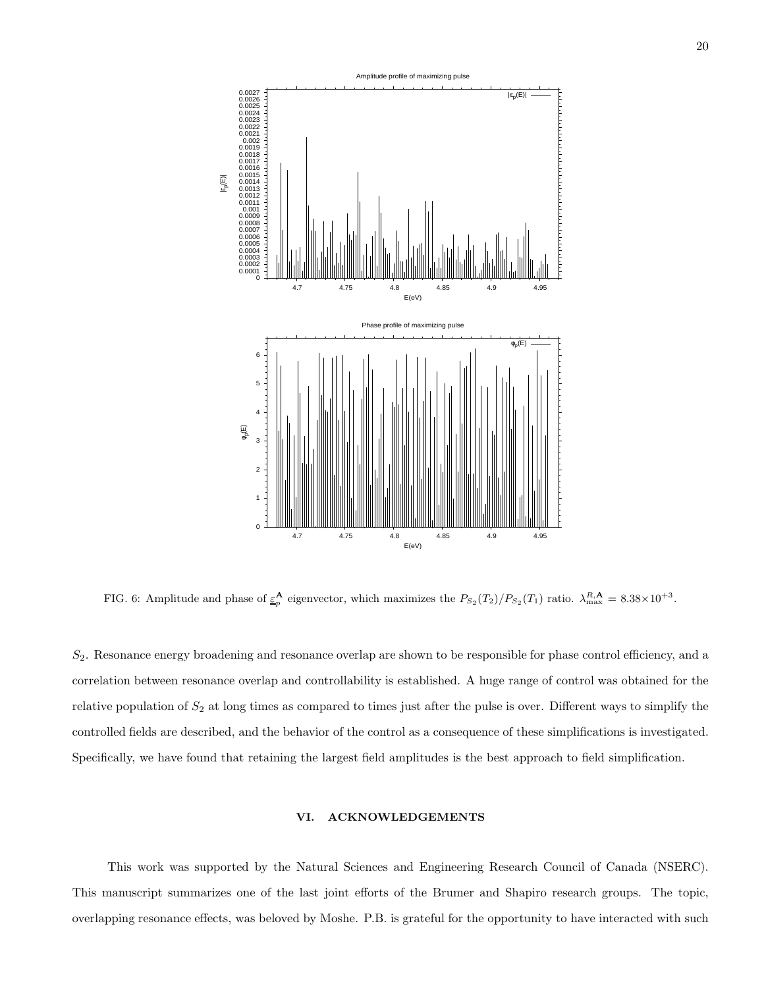

<span id="page-19-0"></span>FIG. 6: Amplitude and phase of  $\underline{\varepsilon}_p^{\mathbf{A}}$  eigenvector, which maximizes the  $P_{S_2}(T_2)/P_{S_2}(T_1)$  ratio.  $\lambda_{\max}^{R,\mathbf{A}} = 8.38 \times 10^{+3}$ .

S2. Resonance energy broadening and resonance overlap are shown to be responsible for phase control efficiency, and a correlation between resonance overlap and controllability is established. A huge range of control was obtained for the relative population of  $S_2$  at long times as compared to times just after the pulse is over. Different ways to simplify the controlled fields are described, and the behavior of the control as a consequence of these simplifications is investigated. Specifically, we have found that retaining the largest field amplitudes is the best approach to field simplification.

## VI. ACKNOWLEDGEMENTS

This work was supported by the Natural Sciences and Engineering Research Council of Canada (NSERC). This manuscript summarizes one of the last joint efforts of the Brumer and Shapiro research groups. The topic, overlapping resonance effects, was beloved by Moshe. P.B. is grateful for the opportunity to have interacted with such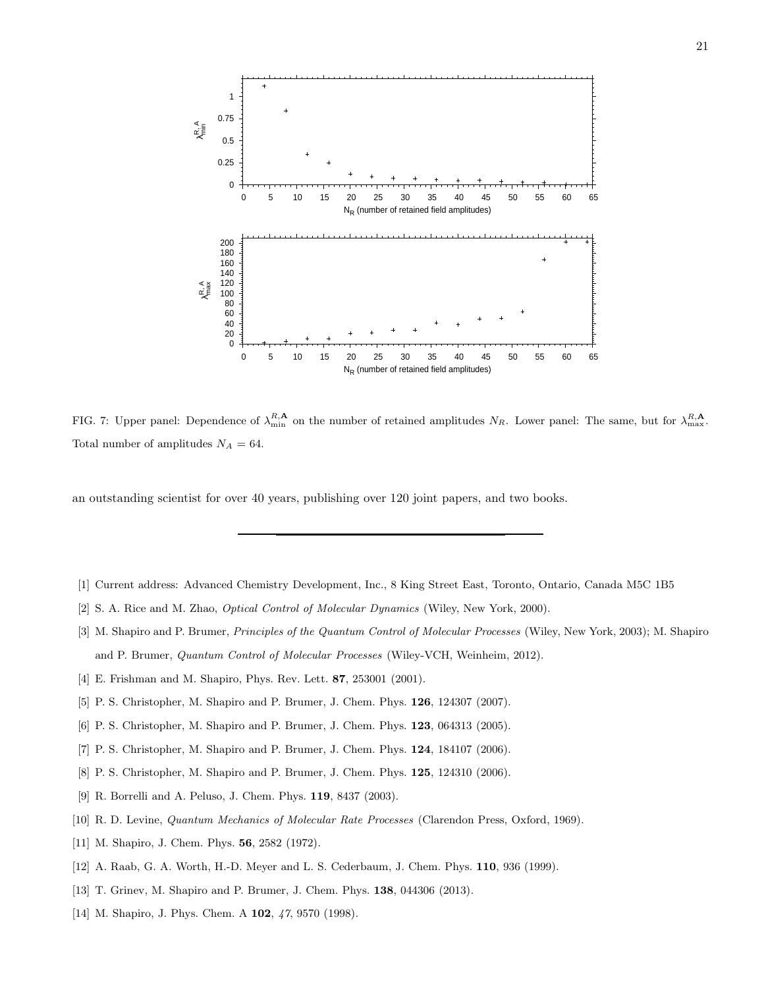

<span id="page-20-14"></span>FIG. 7: Upper panel: Dependence of  $\lambda_{\min}^{R,\mathbf{A}}$  on the number of retained amplitudes  $N_R$ . Lower panel: The same, but for  $\lambda_{\max}^{R,\mathbf{A}}$ . Total number of amplitudes  $N_A = 64$ .

an outstanding scientist for over 40 years, publishing over 120 joint papers, and two books.

- <span id="page-20-0"></span>[1] Current address: Advanced Chemistry Development, Inc., 8 King Street East, Toronto, Ontario, Canada M5C 1B5
- <span id="page-20-1"></span>[2] S. A. Rice and M. Zhao, Optical Control of Molecular Dynamics (Wiley, New York, 2000).
- <span id="page-20-2"></span>[3] M. Shapiro and P. Brumer, Principles of the Quantum Control of Molecular Processes (Wiley, New York, 2003); M. Shapiro and P. Brumer, Quantum Control of Molecular Processes (Wiley-VCH, Weinheim, 2012).
- <span id="page-20-3"></span>[4] E. Frishman and M. Shapiro, Phys. Rev. Lett. **87**, 253001 (2001).
- <span id="page-20-4"></span>[5] P. S. Christopher, M. Shapiro and P. Brumer, J. Chem. Phys. 126, 124307 (2007).
- <span id="page-20-5"></span>[6] P. S. Christopher, M. Shapiro and P. Brumer, J. Chem. Phys. 123, 064313 (2005).
- <span id="page-20-10"></span>[7] P. S. Christopher, M. Shapiro and P. Brumer, J. Chem. Phys. 124, 184107 (2006).
- <span id="page-20-6"></span>[8] P. S. Christopher, M. Shapiro and P. Brumer, J. Chem. Phys. 125, 124310 (2006).
- <span id="page-20-7"></span>[9] R. Borrelli and A. Peluso, J. Chem. Phys. 119, 8437 (2003).
- <span id="page-20-8"></span>[10] R. D. Levine, Quantum Mechanics of Molecular Rate Processes (Clarendon Press, Oxford, 1969).
- <span id="page-20-9"></span>[11] M. Shapiro, J. Chem. Phys. 56, 2582 (1972).
- <span id="page-20-11"></span>[12] A. Raab, G. A. Worth, H.-D. Meyer and L. S. Cederbaum, J. Chem. Phys. 110, 936 (1999).
- <span id="page-20-12"></span>[13] T. Grinev, M. Shapiro and P. Brumer, J. Chem. Phys. 138, 044306 (2013).
- <span id="page-20-13"></span>[14] M. Shapiro, J. Phys. Chem. A **102**, 47, 9570 (1998).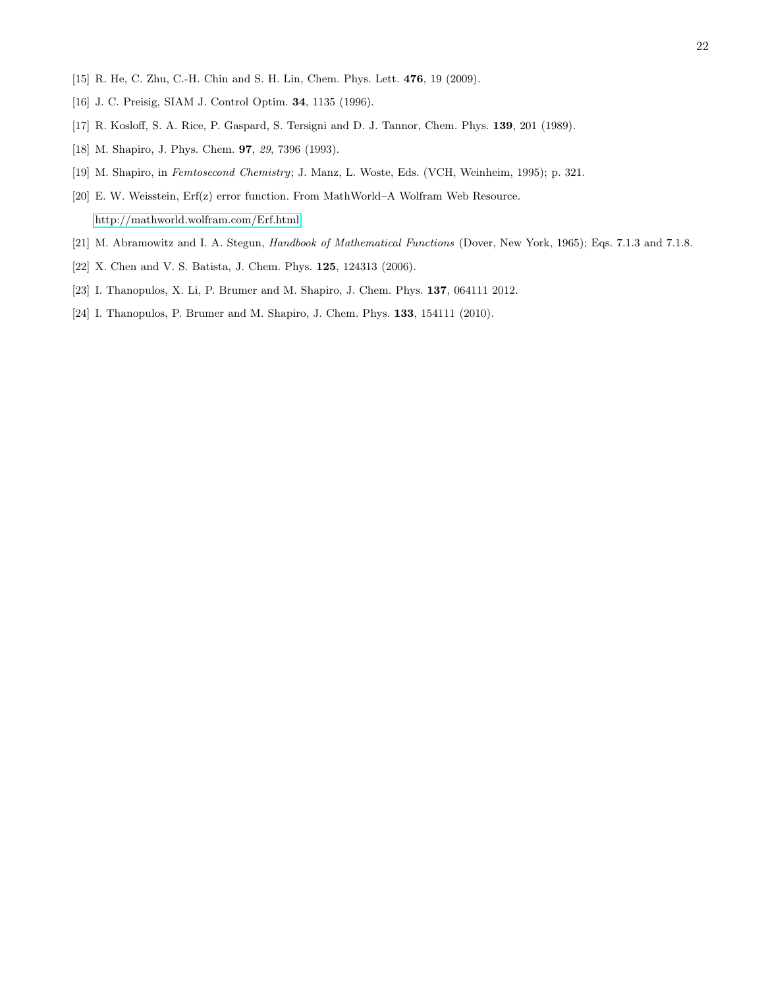- <span id="page-21-1"></span><span id="page-21-0"></span>[15] R. He, C. Zhu, C.-H. Chin and S. H. Lin, Chem. Phys. Lett. 476, 19 (2009).
- [16] J. C. Preisig, SIAM J. Control Optim. **34**, 1135 (1996).
- <span id="page-21-3"></span><span id="page-21-2"></span>[17] R. Kosloff, S. A. Rice, P. Gaspard, S. Tersigni and D. J. Tannor, Chem. Phys. 139, 201 (1989).
- [18] M. Shapiro, J. Phys. Chem. 97, 29, 7396 (1993).
- [19] M. Shapiro, in Femtosecond Chemistry; J. Manz, L. Woste, Eds. (VCH, Weinheim, 1995); p. 321.
- <span id="page-21-4"></span>[20] E. W. Weisstein, Erf(z) error function. From MathWorld–A Wolfram Web Resource. <http://mathworld.wolfram.com/Erf.html>
- <span id="page-21-6"></span><span id="page-21-5"></span>[21] M. Abramowitz and I. A. Stegun, Handbook of Mathematical Functions (Dover, New York, 1965); Eqs. 7.1.3 and 7.1.8.
- [22] X. Chen and V. S. Batista, J. Chem. Phys. 125, 124313 (2006).
- <span id="page-21-7"></span>[23] I. Thanopulos, X. Li, P. Brumer and M. Shapiro, J. Chem. Phys. 137, 064111 2012.
- <span id="page-21-8"></span>[24] I. Thanopulos, P. Brumer and M. Shapiro, J. Chem. Phys. **133**, 154111 (2010).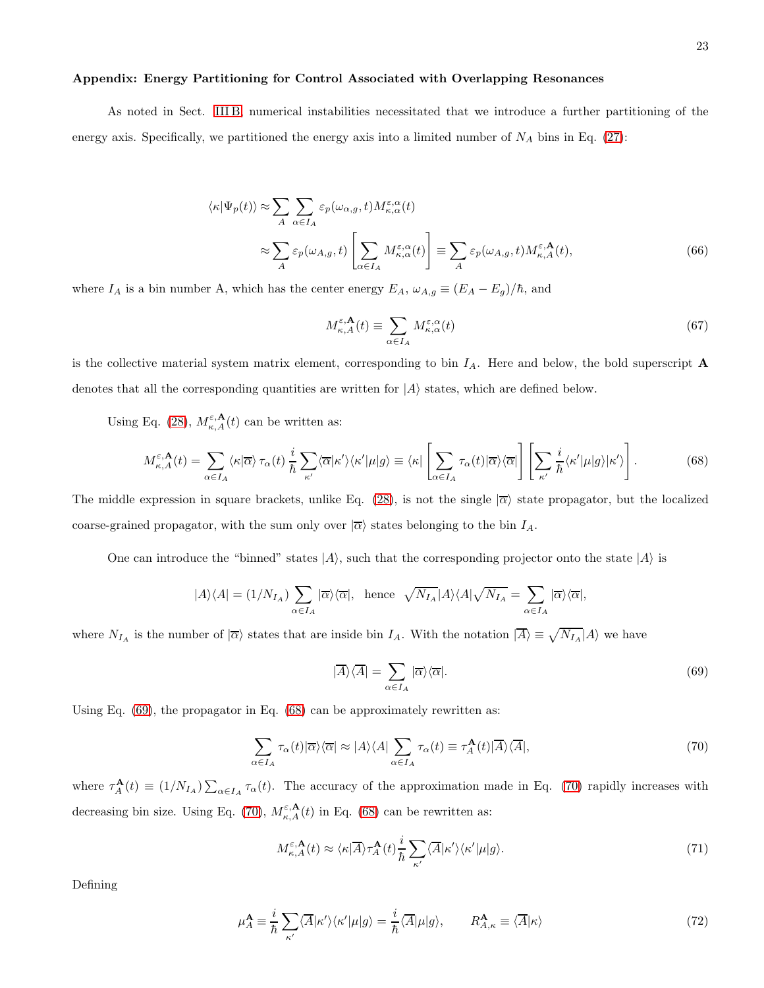#### Appendix: Energy Partitioning for Control Associated with Overlapping Resonances

As noted in Sect. [III B,](#page-8-0) numerical instabilities necessitated that we introduce a further partitioning of the energy axis. Specifically, we partitioned the energy axis into a limited number of  $N_A$  bins in Eq. [\(27\)](#page-6-4):

<span id="page-22-0"></span>
$$
\langle \kappa | \Psi_p(t) \rangle \approx \sum_A \sum_{\alpha \in I_A} \varepsilon_p(\omega_{\alpha,g}, t) M_{\kappa, \alpha}^{\varepsilon, \alpha}(t)
$$

$$
\approx \sum_A \varepsilon_p(\omega_{A,g}, t) \left[ \sum_{\alpha \in I_A} M_{\kappa, \alpha}^{\varepsilon, \alpha}(t) \right] \equiv \sum_A \varepsilon_p(\omega_{A,g}, t) M_{\kappa, A}^{\varepsilon, \mathbf{A}}(t), \tag{66}
$$

where  $I_A$  is a bin number A, which has the center energy  $E_A$ ,  $\omega_{A,g} \equiv (E_A - E_g)/\hbar$ , and

$$
M_{\kappa,A}^{\varepsilon,\mathbf{A}}(t) \equiv \sum_{\alpha \in I_A} M_{\kappa,\alpha}^{\varepsilon,\alpha}(t) \tag{67}
$$

is the collective material system matrix element, corresponding to bin  $I_A$ . Here and below, the bold superscript  $\bf{A}$ denotes that all the corresponding quantities are written for  $|A\rangle$  states, which are defined below.

Using Eq. [\(28\)](#page-6-5),  $M_{\kappa,A}^{\varepsilon,\mathbf{A}}(t)$  can be written as:

<span id="page-22-2"></span>
$$
M_{\kappa,A}^{\varepsilon,\mathbf{A}}(t) = \sum_{\alpha \in I_A} \langle \kappa | \overline{\alpha} \rangle \, \tau_\alpha(t) \, \frac{i}{\hbar} \sum_{\kappa'} \langle \overline{\alpha} | \kappa' \rangle \langle \kappa' | \mu | g \rangle \equiv \langle \kappa | \left[ \sum_{\alpha \in I_A} \tau_\alpha(t) | \overline{\alpha} \rangle \langle \overline{\alpha} | \right] \left[ \sum_{\kappa'} \frac{i}{\hbar} \langle \kappa' | \mu | g \rangle | \kappa' \rangle \right]. \tag{68}
$$

The middle expression in square brackets, unlike Eq. [\(28\)](#page-6-5), is not the single  $\overline{\alpha}$  state propagator, but the localized coarse-grained propagator, with the sum only over  $|\overline{\alpha}\rangle$  states belonging to the bin  $I_A$ .

One can introduce the "binned" states  $|A\rangle$ , such that the corresponding projector onto the state  $|A\rangle$  is

$$
|A\rangle\langle A|=(1/N_{I_A})\sum_{\alpha\in I_A}|\overline{\alpha}\rangle\langle\overline{\alpha}|, \ \ \text{hence} \ \ \sqrt{N_{I_A}}|A\rangle\langle A|\sqrt{N_{I_A}}=\sum_{\alpha\in I_A}|\overline{\alpha}\rangle\langle\overline{\alpha}|,
$$

where  $N_{I_A}$  is the number of  $|\overline{\alpha}\rangle$  states that are inside bin  $I_A$ . With the notation  $|\overline{A}\rangle \equiv \sqrt{N_{I_A}}|A\rangle$  we have

<span id="page-22-1"></span>
$$
|\overline{A}\rangle\langle\overline{A}| = \sum_{\alpha \in I_A} |\overline{\alpha}\rangle\langle\overline{\alpha}|. \tag{69}
$$

Using Eq. [\(69\)](#page-22-1), the propagator in Eq. [\(68\)](#page-22-2) can be approximately rewritten as:

<span id="page-22-3"></span>
$$
\sum_{\alpha \in I_A} \tau_{\alpha}(t) |\overline{\alpha}\rangle\langle\overline{\alpha}| \approx |A\rangle\langle A| \sum_{\alpha \in I_A} \tau_{\alpha}(t) \equiv \tau_A^{\mathbf{A}}(t) |\overline{A}\rangle\langle\overline{A}|,\tag{70}
$$

where  $\tau_A^{\mathbf{A}}(t) \equiv (1/N_{I_A}) \sum_{\alpha \in I_A} \tau_{\alpha}(t)$ . The accuracy of the approximation made in Eq. [\(70\)](#page-22-3) rapidly increases with decreasing bin size. Using Eq. [\(70\)](#page-22-3),  $M_{\kappa,A}^{\varepsilon,\mathbf{A}}(t)$  in Eq. [\(68\)](#page-22-2) can be rewritten as:

$$
M_{\kappa,A}^{\varepsilon,\mathbf{A}}(t) \approx \langle \kappa | \overline{A} \rangle \tau_A^{\mathbf{A}}(t) \frac{i}{\hbar} \sum_{\kappa'} \langle \overline{A} | \kappa' \rangle \langle \kappa' | \mu | g \rangle. \tag{71}
$$

Defining

$$
\mu_A^{\mathbf{A}} \equiv \frac{i}{\hbar} \sum_{\kappa'} \langle \overline{A} | \kappa' \rangle \langle \kappa' | \mu | g \rangle = \frac{i}{\hbar} \langle \overline{A} | \mu | g \rangle, \qquad R_{A,\kappa}^{\mathbf{A}} \equiv \langle \overline{A} | \kappa \rangle \tag{72}
$$